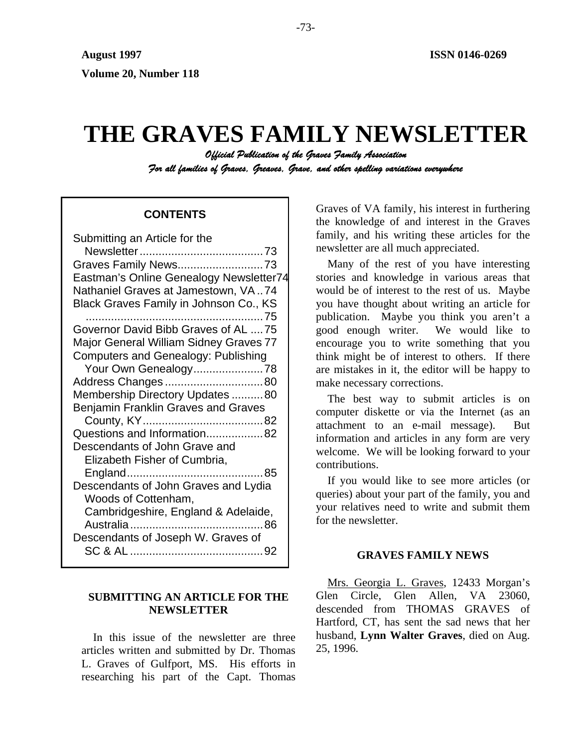# **THE GRAVES FAMILY NEWSLETTER**

*Official Publication of the Graves Family Association For all families of Graves, Greaves, Grave, and other spelling variations everywhere* 

## **CONTENTS**

| Submitting an Article for the                 |
|-----------------------------------------------|
|                                               |
| Graves Family News73                          |
| Eastman's Online Genealogy Newsletter74       |
| Nathaniel Graves at Jamestown, VA74           |
| Black Graves Family in Johnson Co., KS        |
| . 75                                          |
| Governor David Bibb Graves of AL 75           |
| <b>Major General William Sidney Graves 77</b> |
| <b>Computers and Genealogy: Publishing</b>    |
|                                               |
| Address Changes80                             |
| Membership Directory Updates 80               |
| Benjamin Franklin Graves and Graves           |
|                                               |
| Questions and Information82                   |
| Descendants of John Grave and                 |
| Elizabeth Fisher of Cumbria,                  |
|                                               |
| Descendants of John Graves and Lydia          |
| Woods of Cottenham,                           |
| Cambridgeshire, England & Adelaide,           |
|                                               |
| Descendants of Joseph W. Graves of            |
|                                               |

## **SUBMITTING AN ARTICLE FOR THE NEWSLETTER**

In this issue of the newsletter are three articles written and submitted by Dr. Thomas L. Graves of Gulfport, MS. His efforts in researching his part of the Capt. Thomas

Graves of VA family, his interest in furthering the knowledge of and interest in the Graves family, and his writing these articles for the newsletter are all much appreciated.

Many of the rest of you have interesting stories and knowledge in various areas that would be of interest to the rest of us. Maybe you have thought about writing an article for publication. Maybe you think you aren't a good enough writer. We would like to encourage you to write something that you think might be of interest to others. If there are mistakes in it, the editor will be happy to make necessary corrections.

The best way to submit articles is on computer diskette or via the Internet (as an attachment to an e-mail message). But information and articles in any form are very welcome. We will be looking forward to your contributions.

If you would like to see more articles (or queries) about your part of the family, you and your relatives need to write and submit them for the newsletter.

## **GRAVES FAMILY NEWS**

Mrs. Georgia L. Graves, 12433 Morgan's Glen Circle, Glen Allen, VA 23060, descended from THOMAS GRAVES of Hartford, CT, has sent the sad news that her husband, **Lynn Walter Graves**, died on Aug. 25, 1996.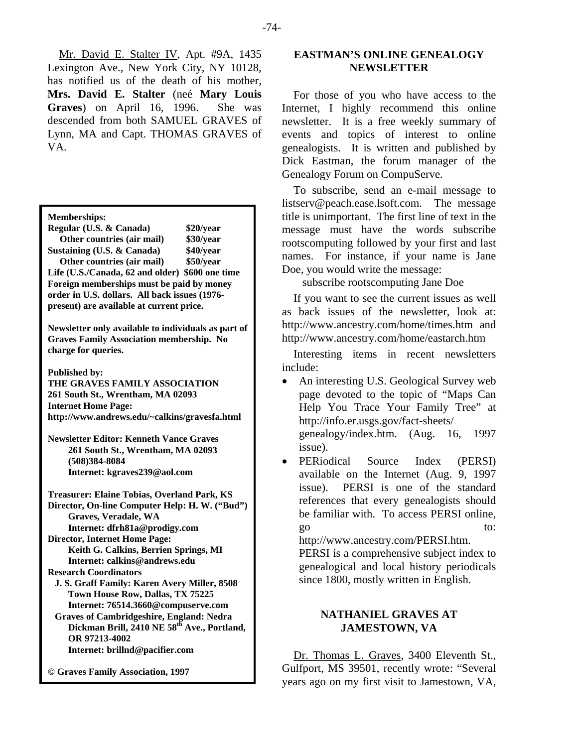Mr. David E. Stalter IV, Apt. #9A, 1435 Lexington Ave., New York City, NY 10128, has notified us of the death of his mother, **Mrs. David E. Stalter** (neé **Mary Louis Graves**) on April 16, 1996. She was descended from both SAMUEL GRAVES of Lynn, MA and Capt. THOMAS GRAVES of VA.

**Memberships:** 

| Regular (U.S. & Canada)                         | \$20/year |
|-------------------------------------------------|-----------|
| Other countries (air mail)                      | \$30/year |
| Sustaining (U.S. & Canada)                      | \$40/year |
| Other countries (air mail)                      | \$50/year |
| Life (U.S./Canada, 62 and older) \$600 one time |           |
| Foreign memberships must be paid by money       |           |
| order in U.S. dollars. All back issues (1976-   |           |
| present) are available at current price.        |           |

**Newsletter only available to individuals as part of Graves Family Association membership. No charge for queries.** 

**Published by:** 

**THE GRAVES FAMILY ASSOCIATION 261 South St., Wrentham, MA 02093 Internet Home Page: http://www.andrews.edu/~calkins/gravesfa.html** 

**Newsletter Editor: Kenneth Vance Graves 261 South St., Wrentham, MA 02093 (508)384-8084 Internet: kgraves239@aol.com** 

**Treasurer: Elaine Tobias, Overland Park, KS Director, On-line Computer Help: H. W. ("Bud") Graves, Veradale, WA Internet: dfrh81a@prodigy.com Director, Internet Home Page: Keith G. Calkins, Berrien Springs, MI Internet: calkins@andrews.edu Research Coordinators J. S. Graff Family: Karen Avery Miller, 8508 Town House Row, Dallas, TX 75225 Internet: 76514.3660@compuserve.com Graves of Cambridgeshire, England: Nedra**  Dickman Brill, 2410 NE 58<sup>th</sup> Ave., Portland, **OR 97213-4002** 

 **Internet: brillnd@pacifier.com** 

**© Graves Family Association, 1997**

## **EASTMAN'S ONLINE GENEALOGY NEWSLETTER**

For those of you who have access to the Internet, I highly recommend this online newsletter. It is a free weekly summary of events and topics of interest to online genealogists. It is written and published by Dick Eastman, the forum manager of the Genealogy Forum on CompuServe.

To subscribe, send an e-mail message to listserv@peach.ease.lsoft.com. The message title is unimportant. The first line of text in the message must have the words subscribe rootscomputing followed by your first and last names. For instance, if your name is Jane Doe, you would write the message:

subscribe rootscomputing Jane Doe

If you want to see the current issues as well as back issues of the newsletter, look at: http://www.ancestry.com/home/times.htm and http://www.ancestry.com/home/eastarch.htm

Interesting items in recent newsletters include:

- An interesting U.S. Geological Survey web page devoted to the topic of "Maps Can Help You Trace Your Family Tree" at http://info.er.usgs.gov/fact-sheets/ genealogy/index.htm. (Aug. 16, 1997 issue).
- PERiodical Source Index (PERSI) available on the Internet (Aug. 9, 1997 issue). PERSI is one of the standard references that every genealogists should be familiar with. To access PERSI online, go to:

http://www.ancestry.com/PERSI.htm. PERSI is a comprehensive subject index to genealogical and local history periodicals since 1800, mostly written in English.

## **NATHANIEL GRAVES AT JAMESTOWN, VA**

Dr. Thomas L. Graves, 3400 Eleventh St., Gulfport, MS 39501, recently wrote: "Several years ago on my first visit to Jamestown, VA,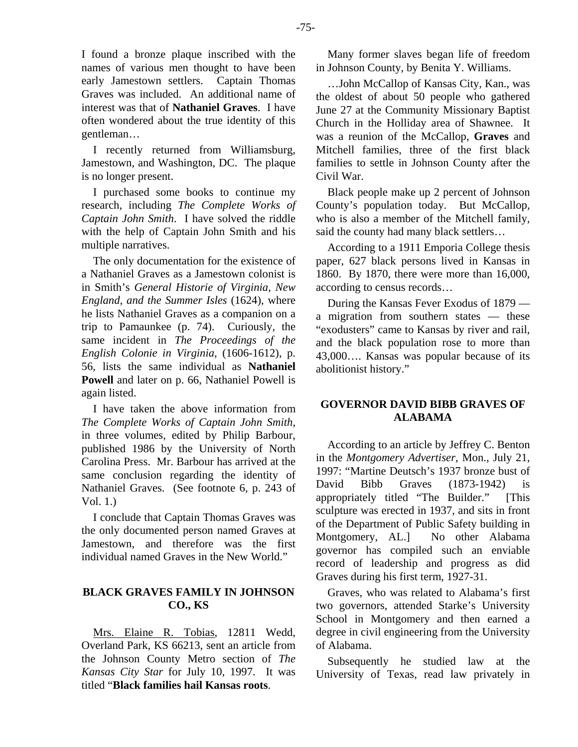I found a bronze plaque inscribed with the names of various men thought to have been early Jamestown settlers. Captain Thomas Graves was included. An additional name of interest was that of **Nathaniel Graves**. I have often wondered about the true identity of this gentleman…

I recently returned from Williamsburg, Jamestown, and Washington, DC. The plaque is no longer present.

I purchased some books to continue my research, including *The Complete Works of Captain John Smith*. I have solved the riddle with the help of Captain John Smith and his multiple narratives.

The only documentation for the existence of a Nathaniel Graves as a Jamestown colonist is in Smith's *General Historie of Virginia, New England, and the Summer Isles* (1624), where he lists Nathaniel Graves as a companion on a trip to Pamaunkee (p. 74). Curiously, the same incident in *The Proceedings of the English Colonie in Virginia*, (1606-1612), p. 56, lists the same individual as **Nathaniel Powell** and later on p. 66, Nathaniel Powell is again listed.

I have taken the above information from *The Complete Works of Captain John Smith*, in three volumes, edited by Philip Barbour, published 1986 by the University of North Carolina Press. Mr. Barbour has arrived at the same conclusion regarding the identity of Nathaniel Graves. (See footnote 6, p. 243 of Vol. 1.)

I conclude that Captain Thomas Graves was the only documented person named Graves at Jamestown, and therefore was the first individual named Graves in the New World."

## **BLACK GRAVES FAMILY IN JOHNSON CO., KS**

Mrs. Elaine R. Tobias, 12811 Wedd, Overland Park, KS 66213, sent an article from the Johnson County Metro section of *The Kansas City Star* for July 10, 1997. It was titled "**Black families hail Kansas roots**.

Many former slaves began life of freedom in Johnson County, by Benita Y. Williams.

…John McCallop of Kansas City, Kan., was the oldest of about 50 people who gathered June 27 at the Community Missionary Baptist Church in the Holliday area of Shawnee. It was a reunion of the McCallop, **Graves** and Mitchell families, three of the first black families to settle in Johnson County after the Civil War.

Black people make up 2 percent of Johnson County's population today. But McCallop, who is also a member of the Mitchell family, said the county had many black settlers…

According to a 1911 Emporia College thesis paper, 627 black persons lived in Kansas in 1860. By 1870, there were more than 16,000, according to census records…

During the Kansas Fever Exodus of 1879 a migration from southern states — these "exodusters" came to Kansas by river and rail, and the black population rose to more than 43,000…. Kansas was popular because of its abolitionist history."

## **GOVERNOR DAVID BIBB GRAVES OF ALABAMA**

According to an article by Jeffrey C. Benton in the *Montgomery Advertiser*, Mon., July 21, 1997: "Martine Deutsch's 1937 bronze bust of David Bibb Graves (1873-1942) is appropriately titled "The Builder." [This sculpture was erected in 1937, and sits in front of the Department of Public Safety building in Montgomery, AL.] No other Alabama governor has compiled such an enviable record of leadership and progress as did Graves during his first term, 1927-31.

Graves, who was related to Alabama's first two governors, attended Starke's University School in Montgomery and then earned a degree in civil engineering from the University of Alabama.

Subsequently he studied law at the University of Texas, read law privately in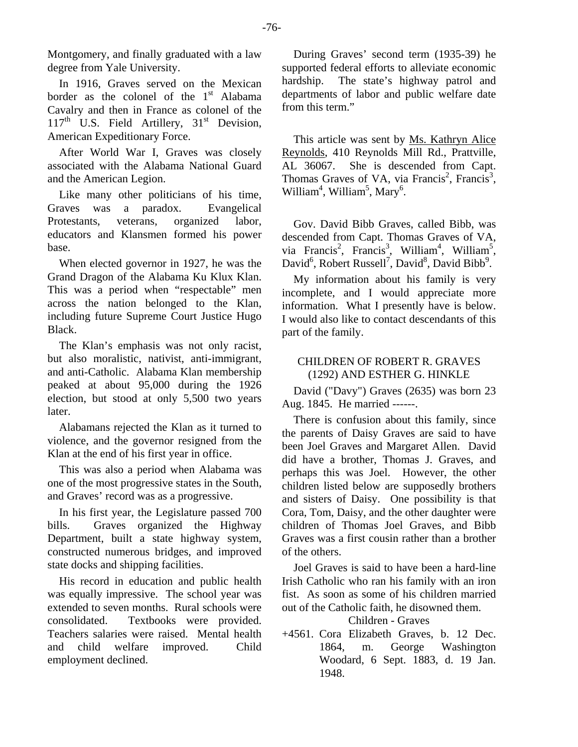Montgomery, and finally graduated with a law degree from Yale University.

In 1916, Graves served on the Mexican border as the colonel of the  $1<sup>st</sup>$  Alabama Cavalry and then in France as colonel of the  $117<sup>th</sup>$  U.S. Field Artillery,  $31<sup>st</sup>$  Devision, American Expeditionary Force.

After World War I, Graves was closely associated with the Alabama National Guard and the American Legion.

Like many other politicians of his time, Graves was a paradox. Evangelical Protestants, veterans, organized labor, educators and Klansmen formed his power base.

When elected governor in 1927, he was the Grand Dragon of the Alabama Ku Klux Klan. This was a period when "respectable" men across the nation belonged to the Klan, including future Supreme Court Justice Hugo Black.

The Klan's emphasis was not only racist, but also moralistic, nativist, anti-immigrant, and anti-Catholic. Alabama Klan membership peaked at about 95,000 during the 1926 election, but stood at only 5,500 two years later.

Alabamans rejected the Klan as it turned to violence, and the governor resigned from the Klan at the end of his first year in office.

This was also a period when Alabama was one of the most progressive states in the South, and Graves' record was as a progressive.

In his first year, the Legislature passed 700 bills. Graves organized the Highway Department, built a state highway system, constructed numerous bridges, and improved state docks and shipping facilities.

His record in education and public health was equally impressive. The school year was extended to seven months. Rural schools were consolidated. Textbooks were provided. Teachers salaries were raised. Mental health and child welfare improved. Child employment declined.

During Graves' second term (1935-39) he supported federal efforts to alleviate economic hardship. The state's highway patrol and departments of labor and public welfare date from this term."

This article was sent by Ms. Kathryn Alice Reynolds, 410 Reynolds Mill Rd., Prattville, AL 36067. She is descended from Capt. Thomas Graves of VA, via Francis<sup>2</sup>, Francis<sup>3</sup>, William<sup>4</sup>, William<sup>5</sup>, Mary<sup>6</sup>.

Gov. David Bibb Graves, called Bibb, was descended from Capt. Thomas Graves of VA, via Francis<sup>2</sup>, Francis<sup>3</sup>, William<sup>4</sup>, William<sup>5</sup>, David<sup>6</sup>, Robert Russell<sup>7</sup>, David<sup>8</sup>, David Bibb<sup>9</sup>.

My information about his family is very incomplete, and I would appreciate more information. What I presently have is below. I would also like to contact descendants of this part of the family.

## CHILDREN OF ROBERT R. GRAVES (1292) AND ESTHER G. HINKLE

David ("Davy") Graves (2635) was born 23 Aug. 1845. He married ------.

There is confusion about this family, since the parents of Daisy Graves are said to have been Joel Graves and Margaret Allen. David did have a brother, Thomas J. Graves, and perhaps this was Joel. However, the other children listed below are supposedly brothers and sisters of Daisy. One possibility is that Cora, Tom, Daisy, and the other daughter were children of Thomas Joel Graves, and Bibb Graves was a first cousin rather than a brother of the others.

Joel Graves is said to have been a hard-line Irish Catholic who ran his family with an iron fist. As soon as some of his children married out of the Catholic faith, he disowned them.

Children - Graves

+4561. Cora Elizabeth Graves, b. 12 Dec. 1864, m. George Washington Woodard, 6 Sept. 1883, d. 19 Jan. 1948.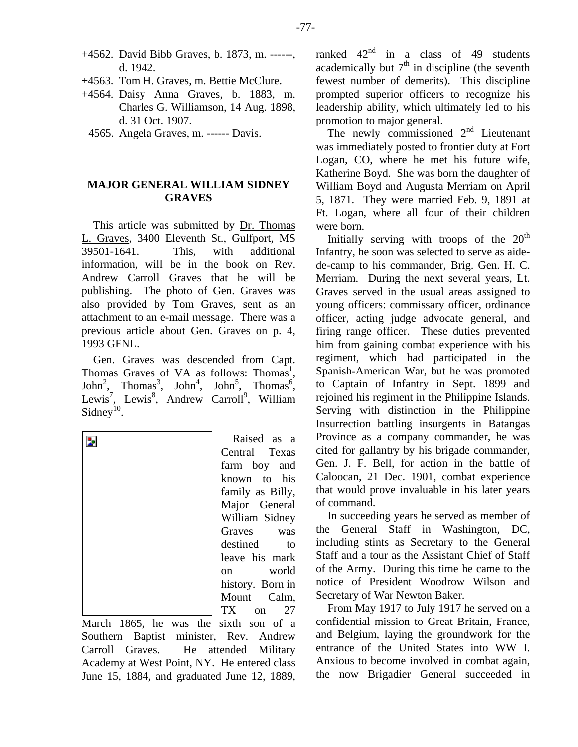- +4562. David Bibb Graves, b. 1873, m. ------, d. 1942.
- +4563. Tom H. Graves, m. Bettie McClure.
- +4564. Daisy Anna Graves, b. 1883, m. Charles G. Williamson, 14 Aug. 1898, d. 31 Oct. 1907.
	- 4565. Angela Graves, m. ------ Davis.

## **MAJOR GENERAL WILLIAM SIDNEY GRAVES**

This article was submitted by Dr. Thomas L. Graves, 3400 Eleventh St., Gulfport, MS 39501-1641. This, with additional information, will be in the book on Rev. Andrew Carroll Graves that he will be publishing. The photo of Gen. Graves was also provided by Tom Graves, sent as an attachment to an e-mail message. There was a previous article about Gen. Graves on p. 4, 1993 GFNL.

Gen. Graves was descended from Capt. Thomas Graves of VA as follows: Thomas<sup>1</sup>,  $John<sup>2</sup>$ , Thomas<sup>3</sup>, John<sup>4</sup>, John<sup>5</sup>, Thomas<sup>6</sup>, Lewis<sup>7</sup>, Lewis<sup>8</sup>, Andrew Carroll<sup>9</sup>, William Sidney<sup>10</sup>.



Raised as a Central Texas farm boy and known to his family as Billy, Major General William Sidney Graves was destined to leave his mark on world history. Born in Mount Calm, TX on 27

March 1865, he was the sixth son of a Southern Baptist minister, Rev. Andrew Carroll Graves. He attended Military Academy at West Point, NY. He entered class June 15, 1884, and graduated June 12, 1889,

ranked  $42<sup>nd</sup>$  in a class of 49 students academically but  $7<sup>th</sup>$  in discipline (the seventh fewest number of demerits). This discipline prompted superior officers to recognize his leadership ability, which ultimately led to his promotion to major general.

The newly commissioned  $2<sup>nd</sup>$  Lieutenant was immediately posted to frontier duty at Fort Logan, CO, where he met his future wife, Katherine Boyd. She was born the daughter of William Boyd and Augusta Merriam on April 5, 1871. They were married Feb. 9, 1891 at Ft. Logan, where all four of their children were born.

Initially serving with troops of the  $20<sup>th</sup>$ Infantry, he soon was selected to serve as aidede-camp to his commander, Brig. Gen. H. C. Merriam. During the next several years, Lt. Graves served in the usual areas assigned to young officers: commissary officer, ordinance officer, acting judge advocate general, and firing range officer. These duties prevented him from gaining combat experience with his regiment, which had participated in the Spanish-American War, but he was promoted to Captain of Infantry in Sept. 1899 and rejoined his regiment in the Philippine Islands. Serving with distinction in the Philippine Insurrection battling insurgents in Batangas Province as a company commander, he was cited for gallantry by his brigade commander, Gen. J. F. Bell, for action in the battle of Caloocan, 21 Dec. 1901, combat experience that would prove invaluable in his later years of command.

In succeeding years he served as member of the General Staff in Washington, DC, including stints as Secretary to the General Staff and a tour as the Assistant Chief of Staff of the Army. During this time he came to the notice of President Woodrow Wilson and Secretary of War Newton Baker.

From May 1917 to July 1917 he served on a confidential mission to Great Britain, France, and Belgium, laying the groundwork for the entrance of the United States into WW I. Anxious to become involved in combat again, the now Brigadier General succeeded in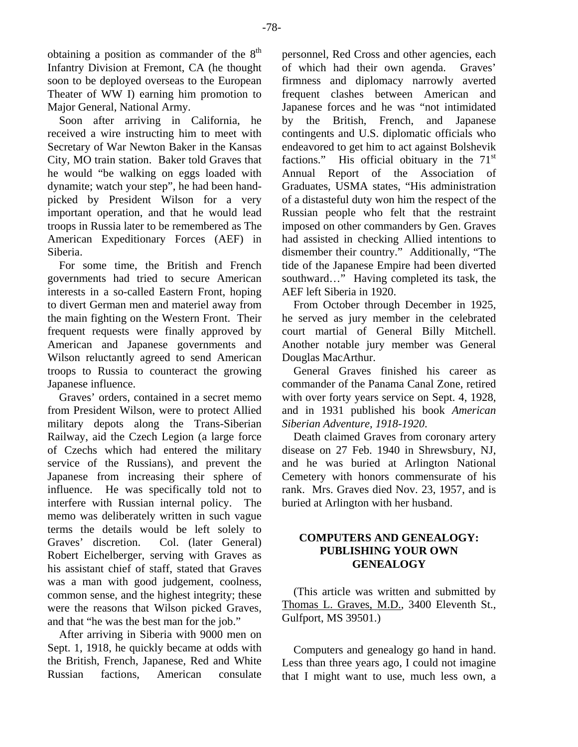obtaining a position as commander of the  $8<sup>th</sup>$ Infantry Division at Fremont, CA (he thought soon to be deployed overseas to the European Theater of WW I) earning him promotion to Major General, National Army.

Soon after arriving in California, he received a wire instructing him to meet with Secretary of War Newton Baker in the Kansas City, MO train station. Baker told Graves that he would "be walking on eggs loaded with dynamite; watch your step", he had been handpicked by President Wilson for a very important operation, and that he would lead troops in Russia later to be remembered as The American Expeditionary Forces (AEF) in Siberia.

For some time, the British and French governments had tried to secure American interests in a so-called Eastern Front, hoping to divert German men and materiel away from the main fighting on the Western Front. Their frequent requests were finally approved by American and Japanese governments and Wilson reluctantly agreed to send American troops to Russia to counteract the growing Japanese influence.

Graves' orders, contained in a secret memo from President Wilson, were to protect Allied military depots along the Trans-Siberian Railway, aid the Czech Legion (a large force of Czechs which had entered the military service of the Russians), and prevent the Japanese from increasing their sphere of influence. He was specifically told not to interfere with Russian internal policy. The memo was deliberately written in such vague terms the details would be left solely to Graves' discretion. Col. (later General) Robert Eichelberger, serving with Graves as his assistant chief of staff, stated that Graves was a man with good judgement, coolness, common sense, and the highest integrity; these were the reasons that Wilson picked Graves, and that "he was the best man for the job."

After arriving in Siberia with 9000 men on Sept. 1, 1918, he quickly became at odds with the British, French, Japanese, Red and White Russian factions, American consulate personnel, Red Cross and other agencies, each of which had their own agenda. Graves' firmness and diplomacy narrowly averted frequent clashes between American and Japanese forces and he was "not intimidated by the British, French, and Japanese contingents and U.S. diplomatic officials who endeavored to get him to act against Bolshevik factions." His official obituary in the  $71<sup>st</sup>$ Annual Report of the Association of Graduates, USMA states, "His administration of a distasteful duty won him the respect of the Russian people who felt that the restraint imposed on other commanders by Gen. Graves had assisted in checking Allied intentions to dismember their country." Additionally, "The tide of the Japanese Empire had been diverted southward..." Having completed its task, the AEF left Siberia in 1920.

From October through December in 1925, he served as jury member in the celebrated court martial of General Billy Mitchell. Another notable jury member was General Douglas MacArthur.

General Graves finished his career as commander of the Panama Canal Zone, retired with over forty years service on Sept. 4, 1928, and in 1931 published his book *American Siberian Adventure, 1918-1920*.

Death claimed Graves from coronary artery disease on 27 Feb. 1940 in Shrewsbury, NJ, and he was buried at Arlington National Cemetery with honors commensurate of his rank. Mrs. Graves died Nov. 23, 1957, and is buried at Arlington with her husband.

## **COMPUTERS AND GENEALOGY: PUBLISHING YOUR OWN GENEALOGY**

(This article was written and submitted by Thomas L. Graves, M.D., 3400 Eleventh St., Gulfport, MS 39501.)

Computers and genealogy go hand in hand. Less than three years ago, I could not imagine that I might want to use, much less own, a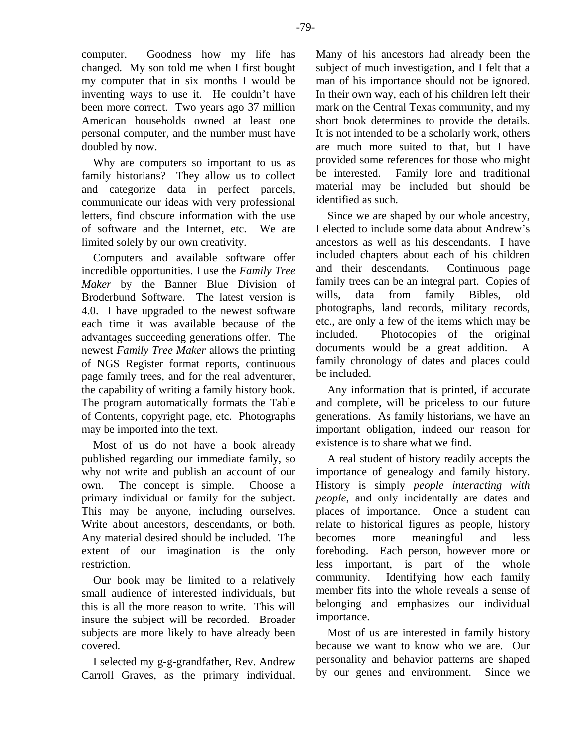computer. Goodness how my life has changed. My son told me when I first bought my computer that in six months I would be inventing ways to use it. He couldn't have been more correct. Two years ago 37 million American households owned at least one personal computer, and the number must have doubled by now.

Why are computers so important to us as family historians? They allow us to collect and categorize data in perfect parcels, communicate our ideas with very professional letters, find obscure information with the use of software and the Internet, etc. We are limited solely by our own creativity.

Computers and available software offer incredible opportunities. I use the *Family Tree Maker* by the Banner Blue Division of Broderbund Software. The latest version is 4.0. I have upgraded to the newest software each time it was available because of the advantages succeeding generations offer. The newest *Family Tree Maker* allows the printing of NGS Register format reports, continuous page family trees, and for the real adventurer, the capability of writing a family history book. The program automatically formats the Table of Contents, copyright page, etc. Photographs may be imported into the text.

Most of us do not have a book already published regarding our immediate family, so why not write and publish an account of our own. The concept is simple. Choose a primary individual or family for the subject. This may be anyone, including ourselves. Write about ancestors, descendants, or both. Any material desired should be included. The extent of our imagination is the only restriction.

Our book may be limited to a relatively small audience of interested individuals, but this is all the more reason to write. This will insure the subject will be recorded. Broader subjects are more likely to have already been covered.

I selected my g-g-grandfather, Rev. Andrew Carroll Graves, as the primary individual. Many of his ancestors had already been the subject of much investigation, and I felt that a man of his importance should not be ignored. In their own way, each of his children left their mark on the Central Texas community, and my short book determines to provide the details. It is not intended to be a scholarly work, others are much more suited to that, but I have provided some references for those who might be interested. Family lore and traditional material may be included but should be identified as such.

Since we are shaped by our whole ancestry, I elected to include some data about Andrew's ancestors as well as his descendants. I have included chapters about each of his children and their descendants. Continuous page family trees can be an integral part. Copies of wills, data from family Bibles, old photographs, land records, military records, etc., are only a few of the items which may be included. Photocopies of the original documents would be a great addition. A family chronology of dates and places could be included.

Any information that is printed, if accurate and complete, will be priceless to our future generations. As family historians, we have an important obligation, indeed our reason for existence is to share what we find.

A real student of history readily accepts the importance of genealogy and family history. History is simply *people interacting with people*, and only incidentally are dates and places of importance. Once a student can relate to historical figures as people, history becomes more meaningful and less foreboding. Each person, however more or less important, is part of the whole community. Identifying how each family member fits into the whole reveals a sense of belonging and emphasizes our individual importance.

Most of us are interested in family history because we want to know who we are. Our personality and behavior patterns are shaped by our genes and environment. Since we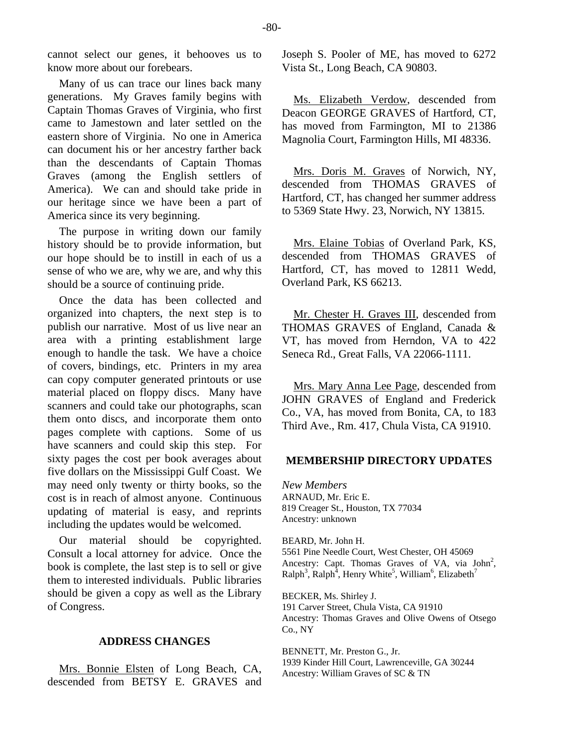cannot select our genes, it behooves us to know more about our forebears.

Many of us can trace our lines back many generations. My Graves family begins with Captain Thomas Graves of Virginia, who first came to Jamestown and later settled on the eastern shore of Virginia. No one in America can document his or her ancestry farther back than the descendants of Captain Thomas Graves (among the English settlers of America). We can and should take pride in our heritage since we have been a part of America since its very beginning.

The purpose in writing down our family history should be to provide information, but our hope should be to instill in each of us a sense of who we are, why we are, and why this should be a source of continuing pride.

Once the data has been collected and organized into chapters, the next step is to publish our narrative. Most of us live near an area with a printing establishment large enough to handle the task. We have a choice of covers, bindings, etc. Printers in my area can copy computer generated printouts or use material placed on floppy discs. Many have scanners and could take our photographs, scan them onto discs, and incorporate them onto pages complete with captions. Some of us have scanners and could skip this step. For sixty pages the cost per book averages about five dollars on the Mississippi Gulf Coast. We may need only twenty or thirty books, so the cost is in reach of almost anyone. Continuous updating of material is easy, and reprints including the updates would be welcomed.

Our material should be copyrighted. Consult a local attorney for advice. Once the book is complete, the last step is to sell or give them to interested individuals. Public libraries should be given a copy as well as the Library of Congress.

#### **ADDRESS CHANGES**

Mrs. Bonnie Elsten of Long Beach, CA, descended from BETSY E. GRAVES and Joseph S. Pooler of ME, has moved to 6272 Vista St., Long Beach, CA 90803.

Ms. Elizabeth Verdow, descended from Deacon GEORGE GRAVES of Hartford, CT, has moved from Farmington, MI to 21386 Magnolia Court, Farmington Hills, MI 48336.

Mrs. Doris M. Graves of Norwich, NY, descended from THOMAS GRAVES of Hartford, CT, has changed her summer address to 5369 State Hwy. 23, Norwich, NY 13815.

Mrs. Elaine Tobias of Overland Park, KS, descended from THOMAS GRAVES of Hartford, CT, has moved to 12811 Wedd, Overland Park, KS 66213.

Mr. Chester H. Graves III, descended from THOMAS GRAVES of England, Canada & VT, has moved from Herndon, VA to 422 Seneca Rd., Great Falls, VA 22066-1111.

Mrs. Mary Anna Lee Page, descended from JOHN GRAVES of England and Frederick Co., VA, has moved from Bonita, CA, to 183 Third Ave., Rm. 417, Chula Vista, CA 91910.

#### **MEMBERSHIP DIRECTORY UPDATES**

*New Members*  ARNAUD, Mr. Eric E. 819 Creager St., Houston, TX 77034 Ancestry: unknown

BEARD, Mr. John H. 5561 Pine Needle Court, West Chester, OH 45069 Ancestry: Capt. Thomas Graves of VA, via  $John<sup>2</sup>$ ,  $\text{Ralph}^3$ ,  $\text{Ralph}^4$ , Henry White<sup>5</sup>, William<sup>6</sup>, Elizabeth<sup>7</sup>

BECKER, Ms. Shirley J. 191 Carver Street, Chula Vista, CA 91910 Ancestry: Thomas Graves and Olive Owens of Otsego Co., NY

BENNETT, Mr. Preston G., Jr. 1939 Kinder Hill Court, Lawrenceville, GA 30244 Ancestry: William Graves of SC & TN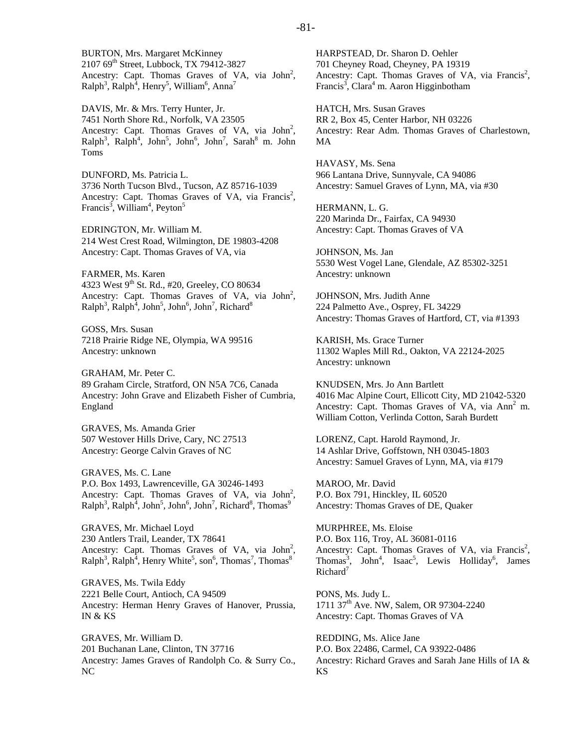BURTON, Mrs. Margaret McKinney 2107 69<sup>th</sup> Street, Lubbock, TX 79412-3827 Ancestry: Capt. Thomas Graves of VA, via  $John<sup>2</sup>$ ,  $\text{Ralph}^3$ ,  $\text{Ralph}^4$ , Henry<sup>5</sup>, William<sup>6</sup>, Anna<sup>7</sup>

DAVIS, Mr. & Mrs. Terry Hunter, Jr. 7451 North Shore Rd., Norfolk, VA 23505 Ancestry: Capt. Thomas Graves of VA, via  $John<sup>2</sup>$ ,  $\text{Ralph}^3$ ,  $\text{Ralph}^4$ ,  $\text{John}^5$ ,  $\text{John}^6$ ,  $\text{John}^7$ ,  $\text{Sarah}^8$  m.  $\text{John}$ Toms

DUNFORD, Ms. Patricia L. 3736 North Tucson Blvd., Tucson, AZ 85716-1039 Ancestry: Capt. Thomas Graves of VA, via Francis<sup>2</sup>, Francis<sup>3</sup>, William<sup>4</sup>, Peyton<sup>5</sup>

EDRINGTON, Mr. William M. 214 West Crest Road, Wilmington, DE 19803-4208 Ancestry: Capt. Thomas Graves of VA, via

FARMER, Ms. Karen 4323 West 9<sup>th</sup> St. Rd., #20, Greeley, CO 80634 Ancestry: Capt. Thomas Graves of VA, via  $John<sup>2</sup>$ ,  $\text{Ralph}^3$ ,  $\text{Ralph}^4$ ,  $\text{John}^5$ ,  $\text{John}^6$ ,  $\text{John}^7$ ,  $\text{Richard}^8$ 

GOSS, Mrs. Susan 7218 Prairie Ridge NE, Olympia, WA 99516 Ancestry: unknown

GRAHAM, Mr. Peter C. 89 Graham Circle, Stratford, ON N5A 7C6, Canada Ancestry: John Grave and Elizabeth Fisher of Cumbria, England

GRAVES, Ms. Amanda Grier 507 Westover Hills Drive, Cary, NC 27513 Ancestry: George Calvin Graves of NC

GRAVES, Ms. C. Lane P.O. Box 1493, Lawrenceville, GA 30246-1493 Ancestry: Capt. Thomas Graves of VA, via  $John<sup>2</sup>$ ,  $\text{Ralph}^3$ ,  $\text{Ralph}^4$ ,  $\text{John}^5$ ,  $\text{John}^6$ ,  $\text{John}^7$ ,  $\text{Richard}^8$ ,  $\text{Thomas}^9$ 

GRAVES, Mr. Michael Loyd 230 Antlers Trail, Leander, TX 78641 Ancestry: Capt. Thomas Graves of VA, via  $John<sup>2</sup>$ ,  $\text{Ralph}^3$ ,  $\text{Ralph}^4$ , Henry White<sup>5</sup>, son<sup>6</sup>, Thomas<sup>7</sup>, Thomas<sup>8</sup>

GRAVES, Ms. Twila Eddy 2221 Belle Court, Antioch, CA 94509 Ancestry: Herman Henry Graves of Hanover, Prussia, IN & KS

GRAVES, Mr. William D. 201 Buchanan Lane, Clinton, TN 37716 Ancestry: James Graves of Randolph Co. & Surry Co., NC

HARPSTEAD, Dr. Sharon D. Oehler 701 Cheyney Road, Cheyney, PA 19319 Ancestry: Capt. Thomas Graves of VA, via Francis<sup>2</sup>, Francis<sup>3</sup>, Clara<sup>4</sup> m. Aaron Higginbotham

HATCH, Mrs. Susan Graves RR 2, Box 45, Center Harbor, NH 03226 Ancestry: Rear Adm. Thomas Graves of Charlestown, MA

HAVASY, Ms. Sena 966 Lantana Drive, Sunnyvale, CA 94086 Ancestry: Samuel Graves of Lynn, MA, via #30

HERMANN, L. G. 220 Marinda Dr., Fairfax, CA 94930 Ancestry: Capt. Thomas Graves of VA

JOHNSON, Ms. Jan 5530 West Vogel Lane, Glendale, AZ 85302-3251 Ancestry: unknown

JOHNSON, Mrs. Judith Anne 224 Palmetto Ave., Osprey, FL 34229 Ancestry: Thomas Graves of Hartford, CT, via #1393

KARISH, Ms. Grace Turner 11302 Waples Mill Rd., Oakton, VA 22124-2025 Ancestry: unknown

KNUDSEN, Mrs. Jo Ann Bartlett 4016 Mac Alpine Court, Ellicott City, MD 21042-5320 Ancestry: Capt. Thomas Graves of VA, via Ann<sup>2</sup> m. William Cotton, Verlinda Cotton, Sarah Burdett

LORENZ, Capt. Harold Raymond, Jr. 14 Ashlar Drive, Goffstown, NH 03045-1803 Ancestry: Samuel Graves of Lynn, MA, via #179

MAROO, Mr. David P.O. Box 791, Hinckley, IL 60520 Ancestry: Thomas Graves of DE, Quaker

MURPHREE, Ms. Eloise P.O. Box 116, Troy, AL 36081-0116 Ancestry: Capt. Thomas Graves of VA, via Francis<sup>2</sup>, Thomas<sup>3</sup>, John<sup>4</sup>, Isaac<sup>5</sup>, Lewis Holliday<sup>6</sup>, James  $Richard<sup>7</sup>$ 

PONS, Ms. Judy L. 1711 37<sup>th</sup> Ave. NW, Salem, OR 97304-2240 Ancestry: Capt. Thomas Graves of VA

REDDING, Ms. Alice Jane P.O. Box 22486, Carmel, CA 93922-0486 Ancestry: Richard Graves and Sarah Jane Hills of IA & KS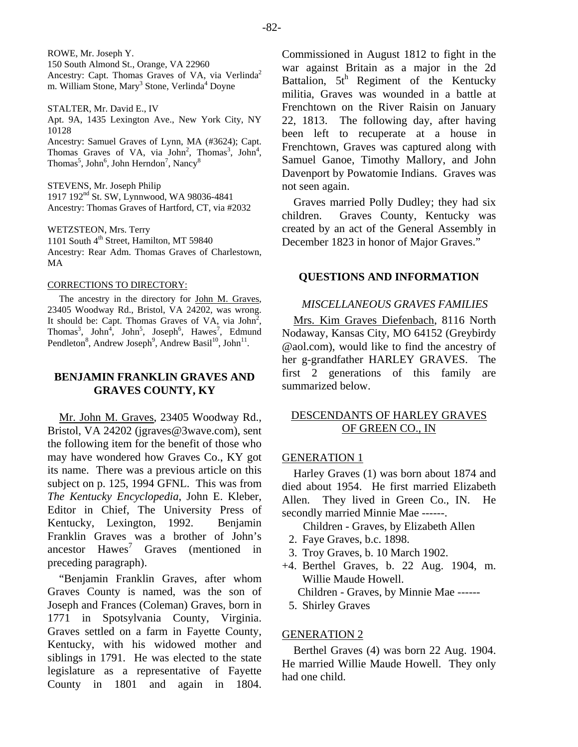ROWE, Mr. Joseph Y. 150 South Almond St., Orange, VA 22960 Ancestry: Capt. Thomas Graves of VA, via Verlinda<sup>2</sup> m. William Stone, Mary<sup>3</sup> Stone, Verlinda<sup>4</sup> Doyne

STALTER, Mr. David E., IV Apt. 9A, 1435 Lexington Ave., New York City, NY 10128

Ancestry: Samuel Graves of Lynn, MA (#3624); Capt. Thomas Graves of VA, via John<sup>2</sup>, Thomas<sup>3</sup>, John<sup>4</sup>, Thomas<sup>5</sup>, John<sup>6</sup>, John Herndon<sup>7</sup>, Nancy<sup>8</sup>

STEVENS, Mr. Joseph Philip 1917 192<sup>nd</sup> St. SW, Lynnwood, WA 98036-4841 Ancestry: Thomas Graves of Hartford, CT, via #2032

WETZSTEON, Mrs. Terry 1101 South 4<sup>th</sup> Street, Hamilton, MT 59840 Ancestry: Rear Adm. Thomas Graves of Charlestown, MA

#### CORRECTIONS TO DIRECTORY:

The ancestry in the directory for John M. Graves, 23405 Woodway Rd., Bristol, VA 24202, was wrong. It should be: Capt. Thomas Graves of VA, via John<sup>2</sup>, Thomas<sup>3</sup>, John<sup>5</sup>, John<sup>5</sup>, Joseph<sup>6</sup>, Hawes<sup>7</sup>, Edmund Pendleton<sup>8</sup>, Andrew Joseph<sup>9</sup>, Andrew Basil<sup>10</sup>, John<sup>11</sup>.

## **BENJAMIN FRANKLIN GRAVES AND GRAVES COUNTY, KY**

Mr. John M. Graves, 23405 Woodway Rd., Bristol, VA 24202 (jgraves@3wave.com), sent the following item for the benefit of those who may have wondered how Graves Co., KY got its name. There was a previous article on this subject on p. 125, 1994 GFNL. This was from *The Kentucky Encyclopedia*, John E. Kleber, Editor in Chief, The University Press of Kentucky, Lexington, 1992. Benjamin Franklin Graves was a brother of John's ancestor  $Hawes<sup>7</sup>$  Graves (mentioned in preceding paragraph).

"Benjamin Franklin Graves, after whom Graves County is named, was the son of Joseph and Frances (Coleman) Graves, born in 1771 in Spotsylvania County, Virginia. Graves settled on a farm in Fayette County, Kentucky, with his widowed mother and siblings in 1791. He was elected to the state legislature as a representative of Fayette County in 1801 and again in 1804.

Commissioned in August 1812 to fight in the war against Britain as a major in the 2d Battalion,  $5t^h$  Regiment of the Kentucky militia, Graves was wounded in a battle at Frenchtown on the River Raisin on January 22, 1813. The following day, after having been left to recuperate at a house in Frenchtown, Graves was captured along with Samuel Ganoe, Timothy Mallory, and John Davenport by Powatomie Indians. Graves was not seen again.

Graves married Polly Dudley; they had six children. Graves County, Kentucky was created by an act of the General Assembly in December 1823 in honor of Major Graves."

## **QUESTIONS AND INFORMATION**

## *MISCELLANEOUS GRAVES FAMILIES*

Mrs. Kim Graves Diefenbach, 8116 North Nodaway, Kansas City, MO 64152 (Greybirdy @aol.com), would like to find the ancestry of her g-grandfather HARLEY GRAVES. The first 2 generations of this family are summarized below.

## DESCENDANTS OF HARLEY GRAVES OF GREEN CO., IN

#### GENERATION 1

Harley Graves (1) was born about 1874 and died about 1954. He first married Elizabeth Allen. They lived in Green Co., IN. He secondly married Minnie Mae ------.

Children - Graves, by Elizabeth Allen

- 2. Faye Graves, b.c. 1898.
- 3. Troy Graves, b. 10 March 1902.
- +4. Berthel Graves, b. 22 Aug. 1904, m. Willie Maude Howell.

Children - Graves, by Minnie Mae ------

5. Shirley Graves

## GENERATION 2

Berthel Graves (4) was born 22 Aug. 1904. He married Willie Maude Howell. They only had one child.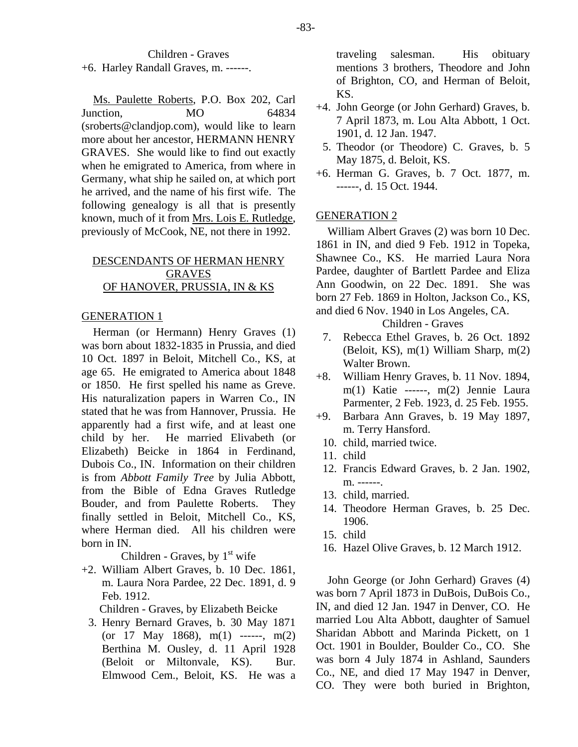## Children - Graves

+6. Harley Randall Graves, m. ------.

Ms. Paulette Roberts, P.O. Box 202, Carl Junction, MO 64834 (sroberts@clandjop.com), would like to learn more about her ancestor, HERMANN HENRY GRAVES. She would like to find out exactly when he emigrated to America, from where in Germany, what ship he sailed on, at which port he arrived, and the name of his first wife. The following genealogy is all that is presently known, much of it from Mrs. Lois E. Rutledge, previously of McCook, NE, not there in 1992.

## DESCENDANTS OF HERMAN HENRY GRAVES OF HANOVER, PRUSSIA, IN & KS

## GENERATION 1

Herman (or Hermann) Henry Graves (1) was born about 1832-1835 in Prussia, and died 10 Oct. 1897 in Beloit, Mitchell Co., KS, at age 65. He emigrated to America about 1848 or 1850. He first spelled his name as Greve. His naturalization papers in Warren Co., IN stated that he was from Hannover, Prussia. He apparently had a first wife, and at least one child by her. He married Elivabeth (or Elizabeth) Beicke in 1864 in Ferdinand, Dubois Co., IN. Information on their children is from *Abbott Family Tree* by Julia Abbott, from the Bible of Edna Graves Rutledge Bouder, and from Paulette Roberts. They finally settled in Beloit, Mitchell Co., KS, where Herman died. All his children were born in IN.

Children - Graves, by  $1<sup>st</sup>$  wife

+2. William Albert Graves, b. 10 Dec. 1861, m. Laura Nora Pardee, 22 Dec. 1891, d. 9 Feb. 1912.

Children - Graves, by Elizabeth Beicke

 3. Henry Bernard Graves, b. 30 May 1871 (or 17 May 1868),  $m(1)$  ------,  $m(2)$ Berthina M. Ousley, d. 11 April 1928 (Beloit or Miltonvale, KS). Bur. Elmwood Cem., Beloit, KS. He was a traveling salesman. His obituary mentions 3 brothers, Theodore and John of Brighton, CO, and Herman of Beloit, KS.

- +4. John George (or John Gerhard) Graves, b. 7 April 1873, m. Lou Alta Abbott, 1 Oct. 1901, d. 12 Jan. 1947.
	- 5. Theodor (or Theodore) C. Graves, b. 5 May 1875, d. Beloit, KS.
- +6. Herman G. Graves, b. 7 Oct. 1877, m. ------, d. 15 Oct. 1944.

## GENERATION 2

William Albert Graves (2) was born 10 Dec. 1861 in IN, and died 9 Feb. 1912 in Topeka, Shawnee Co., KS. He married Laura Nora Pardee, daughter of Bartlett Pardee and Eliza Ann Goodwin, on 22 Dec. 1891. She was born 27 Feb. 1869 in Holton, Jackson Co., KS, and died 6 Nov. 1940 in Los Angeles, CA.

Children - Graves

- 7. Rebecca Ethel Graves, b. 26 Oct. 1892 (Beloit, KS), m(1) William Sharp, m(2) Walter Brown.
- +8. William Henry Graves, b. 11 Nov. 1894, m(1) Katie ------, m(2) Jennie Laura Parmenter, 2 Feb. 1923, d. 25 Feb. 1955.
- +9. Barbara Ann Graves, b. 19 May 1897, m. Terry Hansford.
	- 10. child, married twice.
	- 11. child
	- 12. Francis Edward Graves, b. 2 Jan. 1902, m. ------.
	- 13. child, married.
	- 14. Theodore Herman Graves, b. 25 Dec. 1906.
	- 15. child
	- 16. Hazel Olive Graves, b. 12 March 1912.

John George (or John Gerhard) Graves (4) was born 7 April 1873 in DuBois, DuBois Co., IN, and died 12 Jan. 1947 in Denver, CO. He married Lou Alta Abbott, daughter of Samuel Sharidan Abbott and Marinda Pickett, on 1 Oct. 1901 in Boulder, Boulder Co., CO. She was born 4 July 1874 in Ashland, Saunders Co., NE, and died 17 May 1947 in Denver, CO. They were both buried in Brighton,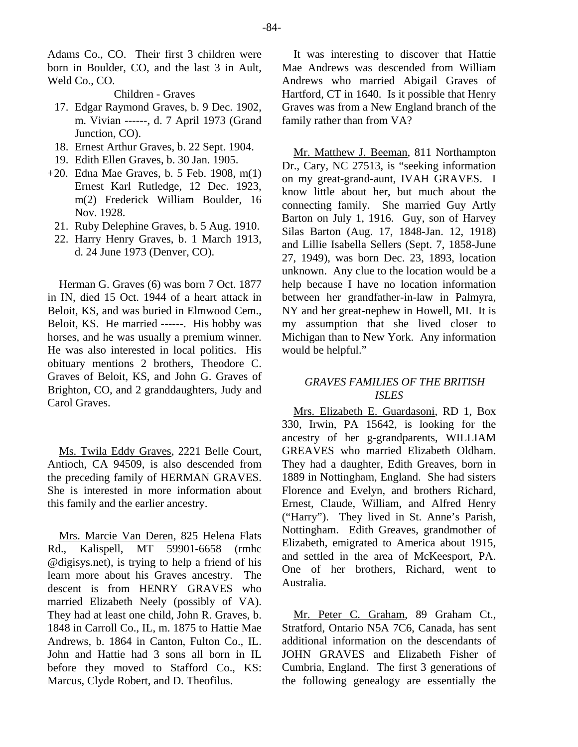Adams Co., CO. Their first 3 children were born in Boulder, CO, and the last 3 in Ault, Weld Co., CO.

#### Children - Graves

- 17. Edgar Raymond Graves, b. 9 Dec. 1902, m. Vivian ------, d. 7 April 1973 (Grand Junction, CO).
- 18. Ernest Arthur Graves, b. 22 Sept. 1904.
- 19. Edith Ellen Graves, b. 30 Jan. 1905.
- +20. Edna Mae Graves, b. 5 Feb. 1908, m(1) Ernest Karl Rutledge, 12 Dec. 1923, m(2) Frederick William Boulder, 16 Nov. 1928.
	- 21. Ruby Delephine Graves, b. 5 Aug. 1910.
	- 22. Harry Henry Graves, b. 1 March 1913, d. 24 June 1973 (Denver, CO).

Herman G. Graves (6) was born 7 Oct. 1877 in IN, died 15 Oct. 1944 of a heart attack in Beloit, KS, and was buried in Elmwood Cem., Beloit, KS. He married ------. His hobby was horses, and he was usually a premium winner. He was also interested in local politics. His obituary mentions 2 brothers, Theodore C. Graves of Beloit, KS, and John G. Graves of Brighton, CO, and 2 granddaughters, Judy and Carol Graves.

Ms. Twila Eddy Graves, 2221 Belle Court, Antioch, CA 94509, is also descended from the preceding family of HERMAN GRAVES. She is interested in more information about this family and the earlier ancestry.

Mrs. Marcie Van Deren, 825 Helena Flats Rd., Kalispell, MT 59901-6658 (rmhc @digisys.net), is trying to help a friend of his learn more about his Graves ancestry. The descent is from HENRY GRAVES who married Elizabeth Neely (possibly of VA). They had at least one child, John R. Graves, b. 1848 in Carroll Co., IL, m. 1875 to Hattie Mae Andrews, b. 1864 in Canton, Fulton Co., IL. John and Hattie had 3 sons all born in IL before they moved to Stafford Co., KS: Marcus, Clyde Robert, and D. Theofilus.

It was interesting to discover that Hattie Mae Andrews was descended from William Andrews who married Abigail Graves of Hartford, CT in 1640. Is it possible that Henry Graves was from a New England branch of the family rather than from VA?

Mr. Matthew J. Beeman, 811 Northampton Dr., Cary, NC 27513, is "seeking information on my great-grand-aunt, IVAH GRAVES. I know little about her, but much about the connecting family. She married Guy Artly Barton on July 1, 1916. Guy, son of Harvey Silas Barton (Aug. 17, 1848-Jan. 12, 1918) and Lillie Isabella Sellers (Sept. 7, 1858-June 27, 1949), was born Dec. 23, 1893, location unknown. Any clue to the location would be a help because I have no location information between her grandfather-in-law in Palmyra, NY and her great-nephew in Howell, MI. It is my assumption that she lived closer to Michigan than to New York. Any information would be helpful."

## *GRAVES FAMILIES OF THE BRITISH ISLES*

Mrs. Elizabeth E. Guardasoni, RD 1, Box 330, Irwin, PA 15642, is looking for the ancestry of her g-grandparents, WILLIAM GREAVES who married Elizabeth Oldham. They had a daughter, Edith Greaves, born in 1889 in Nottingham, England. She had sisters Florence and Evelyn, and brothers Richard, Ernest, Claude, William, and Alfred Henry ("Harry"). They lived in St. Anne's Parish, Nottingham. Edith Greaves, grandmother of Elizabeth, emigrated to America about 1915, and settled in the area of McKeesport, PA. One of her brothers, Richard, went to Australia.

Mr. Peter C. Graham, 89 Graham Ct., Stratford, Ontario N5A 7C6, Canada, has sent additional information on the descendants of JOHN GRAVES and Elizabeth Fisher of Cumbria, England. The first 3 generations of the following genealogy are essentially the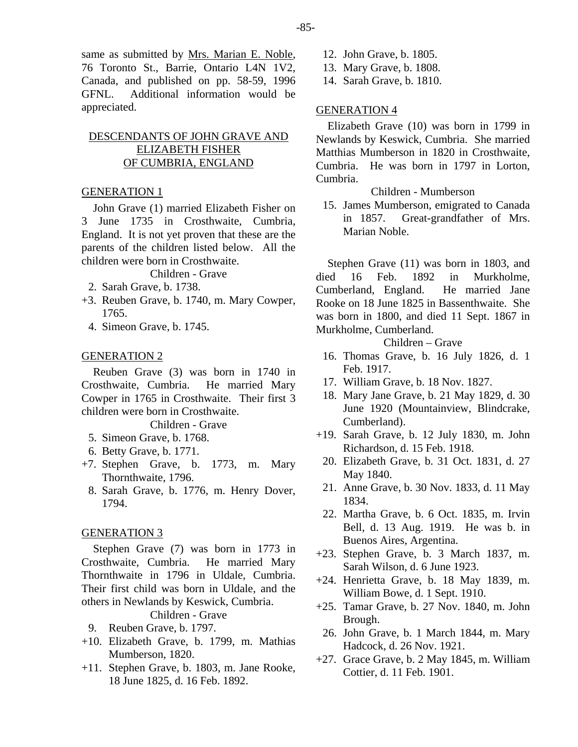same as submitted by Mrs. Marian E. Noble, 76 Toronto St., Barrie, Ontario L4N 1V2, Canada, and published on pp. 58-59, 1996 GFNL. Additional information would be appreciated.

## DESCENDANTS OF JOHN GRAVE AND ELIZABETH FISHER OF CUMBRIA, ENGLAND

## GENERATION 1

John Grave (1) married Elizabeth Fisher on 3 June 1735 in Crosthwaite, Cumbria, England. It is not yet proven that these are the parents of the children listed below. All the children were born in Crosthwaite.

#### Children - Grave

- 2. Sarah Grave, b. 1738.
- +3. Reuben Grave, b. 1740, m. Mary Cowper, 1765.
	- 4. Simeon Grave, b. 1745.

#### GENERATION 2

Reuben Grave (3) was born in 1740 in Crosthwaite, Cumbria. He married Mary Cowper in 1765 in Crosthwaite. Their first 3 children were born in Crosthwaite.

### Children - Grave

- 5. Simeon Grave, b. 1768.
- 6. Betty Grave, b. 1771.
- +7. Stephen Grave, b. 1773, m. Mary Thornthwaite, 1796.
	- 8. Sarah Grave, b. 1776, m. Henry Dover, 1794.

#### GENERATION 3

Stephen Grave (7) was born in 1773 in Crosthwaite, Cumbria. He married Mary Thornthwaite in 1796 in Uldale, Cumbria. Their first child was born in Uldale, and the others in Newlands by Keswick, Cumbria.

## Children - Grave

- 9. Reuben Grave, b. 1797.
- +10. Elizabeth Grave, b. 1799, m. Mathias Mumberson, 1820.
- +11. Stephen Grave, b. 1803, m. Jane Rooke, 18 June 1825, d. 16 Feb. 1892.
- 12. John Grave, b. 1805.
- 13. Mary Grave, b. 1808.
- 14. Sarah Grave, b. 1810.

## GENERATION 4

Elizabeth Grave (10) was born in 1799 in Newlands by Keswick, Cumbria. She married Matthias Mumberson in 1820 in Crosthwaite, Cumbria. He was born in 1797 in Lorton, Cumbria.

Children - Mumberson

 15. James Mumberson, emigrated to Canada in 1857. Great-grandfather of Mrs. Marian Noble.

Stephen Grave (11) was born in 1803, and died 16 Feb. 1892 in Murkholme, Cumberland, England. He married Jane Rooke on 18 June 1825 in Bassenthwaite. She was born in 1800, and died 11 Sept. 1867 in Murkholme, Cumberland.

## Children – Grave

- 16. Thomas Grave, b. 16 July 1826, d. 1 Feb. 1917.
- 17. William Grave, b. 18 Nov. 1827.
- 18. Mary Jane Grave, b. 21 May 1829, d. 30 June 1920 (Mountainview, Blindcrake, Cumberland).
- +19. Sarah Grave, b. 12 July 1830, m. John Richardson, d. 15 Feb. 1918.
- 20. Elizabeth Grave, b. 31 Oct. 1831, d. 27 May 1840.
- 21. Anne Grave, b. 30 Nov. 1833, d. 11 May 1834.
- 22. Martha Grave, b. 6 Oct. 1835, m. Irvin Bell, d. 13 Aug. 1919. He was b. in Buenos Aires, Argentina.
- +23. Stephen Grave, b. 3 March 1837, m. Sarah Wilson, d. 6 June 1923.
- +24. Henrietta Grave, b. 18 May 1839, m. William Bowe, d. 1 Sept. 1910.
- +25. Tamar Grave, b. 27 Nov. 1840, m. John Brough.
- 26. John Grave, b. 1 March 1844, m. Mary Hadcock, d. 26 Nov. 1921.
- +27. Grace Grave, b. 2 May 1845, m. William Cottier, d. 11 Feb. 1901.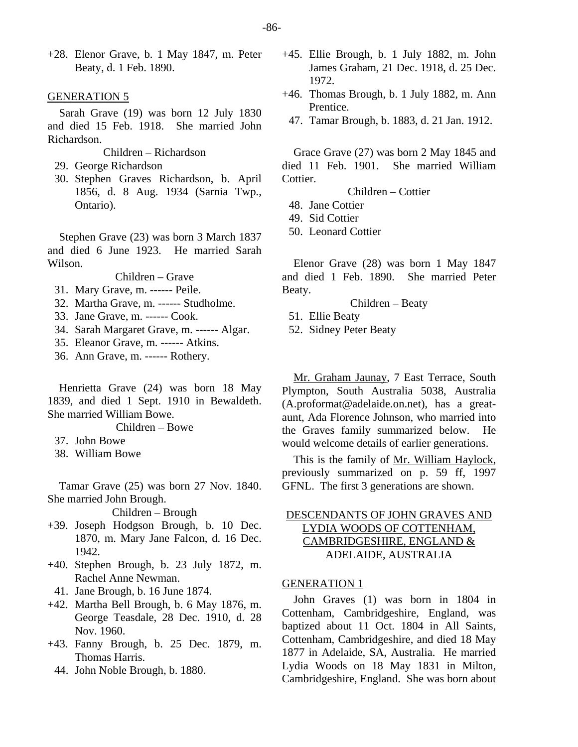+28. Elenor Grave, b. 1 May 1847, m. Peter Beaty, d. 1 Feb. 1890.

#### GENERATION 5

Sarah Grave (19) was born 12 July 1830 and died 15 Feb. 1918. She married John Richardson.

- Children Richardson
- 29. George Richardson
- 30. Stephen Graves Richardson, b. April 1856, d. 8 Aug. 1934 (Sarnia Twp., Ontario).

Stephen Grave (23) was born 3 March 1837 and died 6 June 1923. He married Sarah Wilson.

Children – Grave

- 31. Mary Grave, m. ------ Peile.
- 32. Martha Grave, m. ------ Studholme.
- 33. Jane Grave, m. ------ Cook.
- 34. Sarah Margaret Grave, m. ------ Algar.
- 35. Eleanor Grave, m. ------ Atkins.
- 36. Ann Grave, m. ------ Rothery.

Henrietta Grave (24) was born 18 May 1839, and died 1 Sept. 1910 in Bewaldeth. She married William Bowe.

Children – Bowe

- 37. John Bowe
- 38. William Bowe

Tamar Grave (25) was born 27 Nov. 1840. She married John Brough.

Children – Brough

- +39. Joseph Hodgson Brough, b. 10 Dec. 1870, m. Mary Jane Falcon, d. 16 Dec. 1942.
- +40. Stephen Brough, b. 23 July 1872, m. Rachel Anne Newman.
- 41. Jane Brough, b. 16 June 1874.
- +42. Martha Bell Brough, b. 6 May 1876, m. George Teasdale, 28 Dec. 1910, d. 28 Nov. 1960.
- +43. Fanny Brough, b. 25 Dec. 1879, m. Thomas Harris.
	- 44. John Noble Brough, b. 1880.
- +45. Ellie Brough, b. 1 July 1882, m. John James Graham, 21 Dec. 1918, d. 25 Dec. 1972.
- +46. Thomas Brough, b. 1 July 1882, m. Ann Prentice.
- 47. Tamar Brough, b. 1883, d. 21 Jan. 1912.

Grace Grave (27) was born 2 May 1845 and died 11 Feb. 1901. She married William Cottier.

Children – Cottier

- 48. Jane Cottier
- 49. Sid Cottier
- 50. Leonard Cottier

Elenor Grave (28) was born 1 May 1847 and died 1 Feb. 1890. She married Peter Beaty.

Children – Beaty

- 51. Ellie Beaty
- 52. Sidney Peter Beaty

Mr. Graham Jaunay, 7 East Terrace, South Plympton, South Australia 5038, Australia (A.proformat@adelaide.on.net), has a greataunt, Ada Florence Johnson, who married into the Graves family summarized below. He would welcome details of earlier generations.

This is the family of Mr. William Haylock, previously summarized on p. 59 ff, 1997 GFNL. The first 3 generations are shown.

## DESCENDANTS OF JOHN GRAVES AND LYDIA WOODS OF COTTENHAM, CAMBRIDGESHIRE, ENGLAND & ADELAIDE, AUSTRALIA

#### GENERATION 1

John Graves (1) was born in 1804 in Cottenham, Cambridgeshire, England, was baptized about 11 Oct. 1804 in All Saints, Cottenham, Cambridgeshire, and died 18 May 1877 in Adelaide, SA, Australia. He married Lydia Woods on 18 May 1831 in Milton, Cambridgeshire, England. She was born about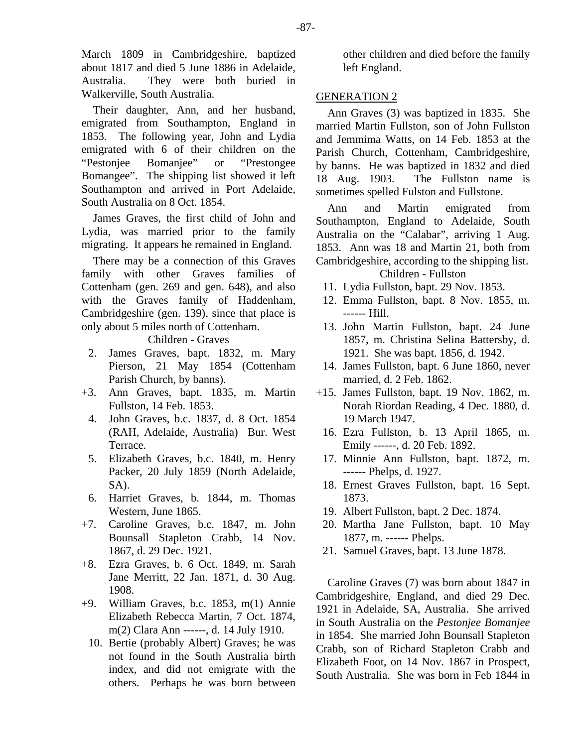March 1809 in Cambridgeshire, baptized about 1817 and died 5 June 1886 in Adelaide, Australia. They were both buried in Walkerville, South Australia.

Their daughter, Ann, and her husband, emigrated from Southampton, England in 1853. The following year, John and Lydia emigrated with 6 of their children on the "Pestonjee Bomanjee" or "Prestongee Bomangee". The shipping list showed it left Southampton and arrived in Port Adelaide, South Australia on 8 Oct. 1854.

James Graves, the first child of John and Lydia, was married prior to the family migrating. It appears he remained in England.

There may be a connection of this Graves family with other Graves families of Cottenham (gen. 269 and gen. 648), and also with the Graves family of Haddenham, Cambridgeshire (gen. 139), since that place is only about 5 miles north of Cottenham.

Children - Graves

- 2. James Graves, bapt. 1832, m. Mary Pierson, 21 May 1854 (Cottenham Parish Church, by banns).
- +3. Ann Graves, bapt. 1835, m. Martin Fullston, 14 Feb. 1853.
	- 4. John Graves, b.c. 1837, d. 8 Oct. 1854 (RAH, Adelaide, Australia) Bur. West Terrace.
	- 5. Elizabeth Graves, b.c. 1840, m. Henry Packer, 20 July 1859 (North Adelaide, SA).
- 6. Harriet Graves, b. 1844, m. Thomas Western, June 1865.
- +7. Caroline Graves, b.c. 1847, m. John Bounsall Stapleton Crabb, 14 Nov. 1867, d. 29 Dec. 1921.
- +8. Ezra Graves, b. 6 Oct. 1849, m. Sarah Jane Merritt, 22 Jan. 1871, d. 30 Aug. 1908.
- +9. William Graves, b.c. 1853, m(1) Annie Elizabeth Rebecca Martin, 7 Oct. 1874, m(2) Clara Ann ------, d. 14 July 1910.
	- 10. Bertie (probably Albert) Graves; he was not found in the South Australia birth index, and did not emigrate with the others. Perhaps he was born between

other children and died before the family left England.

## GENERATION 2

Ann Graves (3) was baptized in 1835. She married Martin Fullston, son of John Fullston and Jemmima Watts, on 14 Feb. 1853 at the Parish Church, Cottenham, Cambridgeshire, by banns. He was baptized in 1832 and died 18 Aug. 1903. The Fullston name is sometimes spelled Fulston and Fullstone.

Ann and Martin emigrated from Southampton, England to Adelaide, South Australia on the "Calabar", arriving 1 Aug. 1853. Ann was 18 and Martin 21, both from Cambridgeshire, according to the shipping list.

Children - Fullston

- 11. Lydia Fullston, bapt. 29 Nov. 1853.
- 12. Emma Fullston, bapt. 8 Nov. 1855, m. ------ Hill.
- 13. John Martin Fullston, bapt. 24 June 1857, m. Christina Selina Battersby, d. 1921. She was bapt. 1856, d. 1942.
- 14. James Fullston, bapt. 6 June 1860, never married, d. 2 Feb. 1862.
- +15. James Fullston, bapt. 19 Nov. 1862, m. Norah Riordan Reading, 4 Dec. 1880, d. 19 March 1947.
- 16. Ezra Fullston, b. 13 April 1865, m. Emily ------, d. 20 Feb. 1892.
- 17. Minnie Ann Fullston, bapt. 1872, m. ------ Phelps, d. 1927.
- 18. Ernest Graves Fullston, bapt. 16 Sept. 1873.
- 19. Albert Fullston, bapt. 2 Dec. 1874.
- 20. Martha Jane Fullston, bapt. 10 May 1877, m. ------ Phelps.
- 21. Samuel Graves, bapt. 13 June 1878.

Caroline Graves (7) was born about 1847 in Cambridgeshire, England, and died 29 Dec. 1921 in Adelaide, SA, Australia. She arrived in South Australia on the *Pestonjee Bomanjee* in 1854. She married John Bounsall Stapleton Crabb, son of Richard Stapleton Crabb and Elizabeth Foot, on 14 Nov. 1867 in Prospect, South Australia. She was born in Feb 1844 in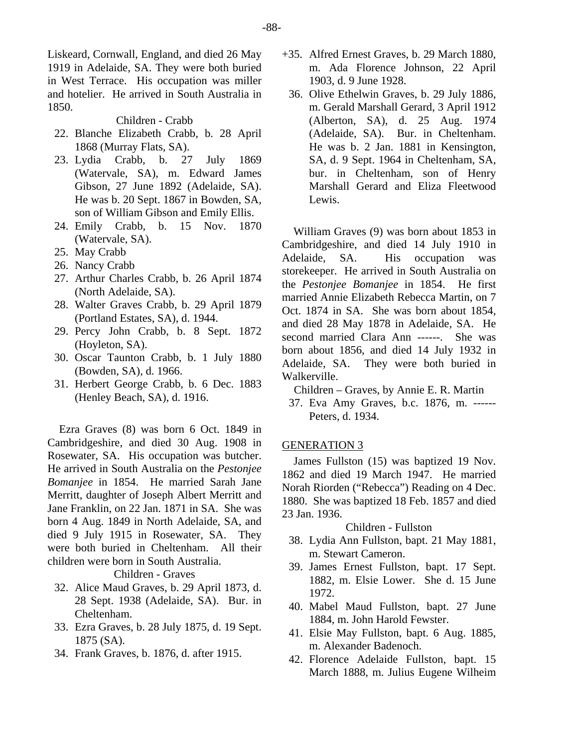Liskeard, Cornwall, England, and died 26 May 1919 in Adelaide, SA. They were both buried in West Terrace. His occupation was miller and hotelier. He arrived in South Australia in 1850.

Children - Crabb

- 22. Blanche Elizabeth Crabb, b. 28 April 1868 (Murray Flats, SA).
- 23. Lydia Crabb, b. 27 July 1869 (Watervale, SA), m. Edward James Gibson, 27 June 1892 (Adelaide, SA). He was b. 20 Sept. 1867 in Bowden, SA, son of William Gibson and Emily Ellis.
- 24. Emily Crabb, b. 15 Nov. 1870 (Watervale, SA).
- 25. May Crabb
- 26. Nancy Crabb
- 27. Arthur Charles Crabb, b. 26 April 1874 (North Adelaide, SA).
- 28. Walter Graves Crabb, b. 29 April 1879 (Portland Estates, SA), d. 1944.
- 29. Percy John Crabb, b. 8 Sept. 1872 (Hoyleton, SA).
- 30. Oscar Taunton Crabb, b. 1 July 1880 (Bowden, SA), d. 1966.
- 31. Herbert George Crabb, b. 6 Dec. 1883 (Henley Beach, SA), d. 1916.

Ezra Graves (8) was born 6 Oct. 1849 in Cambridgeshire, and died 30 Aug. 1908 in Rosewater, SA. His occupation was butcher. He arrived in South Australia on the *Pestonjee Bomanjee* in 1854. He married Sarah Jane Merritt, daughter of Joseph Albert Merritt and Jane Franklin, on 22 Jan. 1871 in SA. She was born 4 Aug. 1849 in North Adelaide, SA, and died 9 July 1915 in Rosewater, SA. They were both buried in Cheltenham. All their children were born in South Australia.

Children - Graves

- 32. Alice Maud Graves, b. 29 April 1873, d. 28 Sept. 1938 (Adelaide, SA). Bur. in Cheltenham.
- 33. Ezra Graves, b. 28 July 1875, d. 19 Sept. 1875 (SA).
- 34. Frank Graves, b. 1876, d. after 1915.
- +35. Alfred Ernest Graves, b. 29 March 1880, m. Ada Florence Johnson, 22 April 1903, d. 9 June 1928.
- 36. Olive Ethelwin Graves, b. 29 July 1886, m. Gerald Marshall Gerard, 3 April 1912 (Alberton, SA), d. 25 Aug. 1974 (Adelaide, SA). Bur. in Cheltenham. He was b. 2 Jan. 1881 in Kensington, SA, d. 9 Sept. 1964 in Cheltenham, SA, bur. in Cheltenham, son of Henry Marshall Gerard and Eliza Fleetwood Lewis.

William Graves (9) was born about 1853 in Cambridgeshire, and died 14 July 1910 in Adelaide, SA. His occupation was storekeeper. He arrived in South Australia on the *Pestonjee Bomanjee* in 1854. He first married Annie Elizabeth Rebecca Martin, on 7 Oct. 1874 in SA. She was born about 1854, and died 28 May 1878 in Adelaide, SA. He second married Clara Ann ------. She was born about 1856, and died 14 July 1932 in Adelaide, SA. They were both buried in Walkerville.

Children – Graves, by Annie E. R. Martin

 37. Eva Amy Graves, b.c. 1876, m. ------ Peters, d. 1934.

## GENERATION 3

James Fullston (15) was baptized 19 Nov. 1862 and died 19 March 1947. He married Norah Riorden ("Rebecca") Reading on 4 Dec. 1880. She was baptized 18 Feb. 1857 and died 23 Jan. 1936.

## Children - Fullston

- 38. Lydia Ann Fullston, bapt. 21 May 1881, m. Stewart Cameron.
- 39. James Ernest Fullston, bapt. 17 Sept. 1882, m. Elsie Lower. She d. 15 June 1972.
- 40. Mabel Maud Fullston, bapt. 27 June 1884, m. John Harold Fewster.
- 41. Elsie May Fullston, bapt. 6 Aug. 1885, m. Alexander Badenoch.
- 42. Florence Adelaide Fullston, bapt. 15 March 1888, m. Julius Eugene Wilheim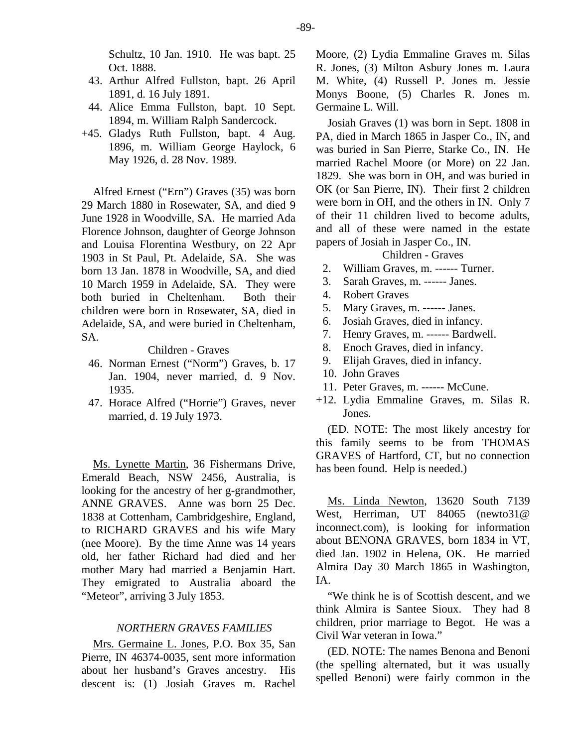Schultz, 10 Jan. 1910. He was bapt. 25 Oct. 1888.

- 43. Arthur Alfred Fullston, bapt. 26 April 1891, d. 16 July 1891.
- 44. Alice Emma Fullston, bapt. 10 Sept. 1894, m. William Ralph Sandercock.
- +45. Gladys Ruth Fullston, bapt. 4 Aug. 1896, m. William George Haylock, 6 May 1926, d. 28 Nov. 1989.

Alfred Ernest ("Ern") Graves (35) was born 29 March 1880 in Rosewater, SA, and died 9 June 1928 in Woodville, SA. He married Ada Florence Johnson, daughter of George Johnson and Louisa Florentina Westbury, on 22 Apr 1903 in St Paul, Pt. Adelaide, SA. She was born 13 Jan. 1878 in Woodville, SA, and died 10 March 1959 in Adelaide, SA. They were both buried in Cheltenham. Both their children were born in Rosewater, SA, died in Adelaide, SA, and were buried in Cheltenham, SA.

### Children - Graves

- 46. Norman Ernest ("Norm") Graves, b. 17 Jan. 1904, never married, d. 9 Nov. 1935.
- 47. Horace Alfred ("Horrie") Graves, never married, d. 19 July 1973.

Ms. Lynette Martin, 36 Fishermans Drive, Emerald Beach, NSW 2456, Australia, is looking for the ancestry of her g-grandmother, ANNE GRAVES. Anne was born 25 Dec. 1838 at Cottenham, Cambridgeshire, England, to RICHARD GRAVES and his wife Mary (nee Moore). By the time Anne was 14 years old, her father Richard had died and her mother Mary had married a Benjamin Hart. They emigrated to Australia aboard the "Meteor", arriving 3 July 1853.

#### *NORTHERN GRAVES FAMILIES*

Mrs. Germaine L. Jones, P.O. Box 35, San Pierre, IN 46374-0035, sent more information about her husband's Graves ancestry. His descent is: (1) Josiah Graves m. Rachel Moore, (2) Lydia Emmaline Graves m. Silas R. Jones, (3) Milton Asbury Jones m. Laura M. White, (4) Russell P. Jones m. Jessie Monys Boone, (5) Charles R. Jones m. Germaine L. Will.

Josiah Graves (1) was born in Sept. 1808 in PA, died in March 1865 in Jasper Co., IN, and was buried in San Pierre, Starke Co., IN. He married Rachel Moore (or More) on 22 Jan. 1829. She was born in OH, and was buried in OK (or San Pierre, IN). Their first 2 children were born in OH, and the others in IN. Only 7 of their 11 children lived to become adults, and all of these were named in the estate papers of Josiah in Jasper Co., IN.

## Children - Graves

- 2. William Graves, m. ------ Turner.
- 3. Sarah Graves, m. ------ Janes.
- 4. Robert Graves
- 5. Mary Graves, m. ------ Janes.
- 6. Josiah Graves, died in infancy.
- 7. Henry Graves, m. ------ Bardwell.
- 8. Enoch Graves, died in infancy.
- 9. Elijah Graves, died in infancy.
- 10. John Graves
- 11. Peter Graves, m. ------ McCune.
- +12. Lydia Emmaline Graves, m. Silas R. Jones.

(ED. NOTE: The most likely ancestry for this family seems to be from THOMAS GRAVES of Hartford, CT, but no connection has been found. Help is needed.)

Ms. Linda Newton, 13620 South 7139 West, Herriman, UT 84065 (newto31@ inconnect.com), is looking for information about BENONA GRAVES, born 1834 in VT, died Jan. 1902 in Helena, OK. He married Almira Day 30 March 1865 in Washington, IA.

"We think he is of Scottish descent, and we think Almira is Santee Sioux. They had 8 children, prior marriage to Begot. He was a Civil War veteran in Iowa."

(ED. NOTE: The names Benona and Benoni (the spelling alternated, but it was usually spelled Benoni) were fairly common in the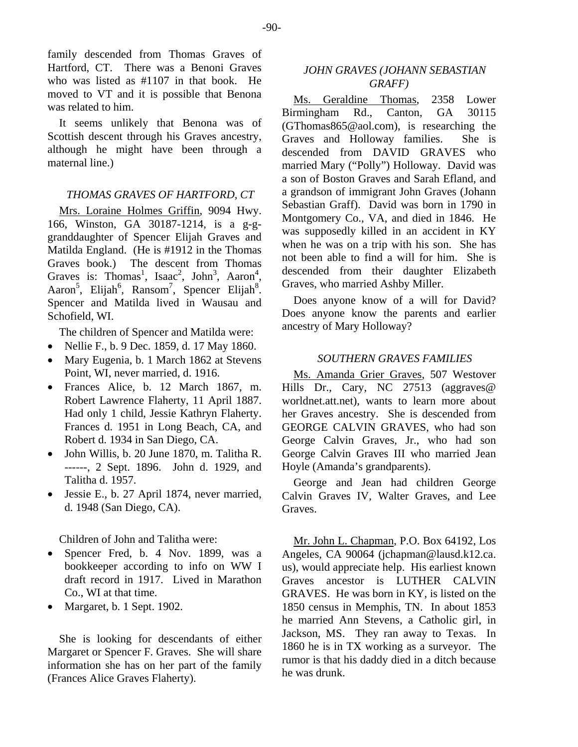family descended from Thomas Graves of Hartford, CT. There was a Benoni Graves who was listed as #1107 in that book. He moved to VT and it is possible that Benona was related to him.

It seems unlikely that Benona was of Scottish descent through his Graves ancestry, although he might have been through a maternal line.)

## *THOMAS GRAVES OF HARTFORD, CT*

Mrs. Loraine Holmes Griffin, 9094 Hwy. 166, Winston, GA 30187-1214, is a g-ggranddaughter of Spencer Elijah Graves and Matilda England. (He is #1912 in the Thomas Graves book.) The descent from Thomas Graves is: Thomas<sup>1</sup>, Isaac<sup>2</sup>, John<sup>3</sup>, Aaron<sup>4</sup>, Aaron<sup>5</sup>, Elijah<sup>6</sup>, Ransom<sup>7</sup>, Spencer Elijah<sup>8</sup>. Spencer and Matilda lived in Wausau and Schofield, WI.

The children of Spencer and Matilda were:

- Nellie F., b. 9 Dec. 1859, d. 17 May 1860.
- Mary Eugenia, b. 1 March 1862 at Stevens Point, WI, never married, d. 1916.
- Frances Alice, b. 12 March 1867, m. Robert Lawrence Flaherty, 11 April 1887. Had only 1 child, Jessie Kathryn Flaherty. Frances d. 1951 in Long Beach, CA, and Robert d. 1934 in San Diego, CA.
- John Willis, b. 20 June 1870, m. Talitha R. ------, 2 Sept. 1896. John d. 1929, and Talitha d. 1957.
- Jessie E., b. 27 April 1874, never married, d. 1948 (San Diego, CA).

Children of John and Talitha were:

- Spencer Fred, b. 4 Nov. 1899, was a bookkeeper according to info on WW I draft record in 1917. Lived in Marathon Co., WI at that time.
- Margaret, b. 1 Sept. 1902.

She is looking for descendants of either Margaret or Spencer F. Graves. She will share information she has on her part of the family (Frances Alice Graves Flaherty).

## *JOHN GRAVES (JOHANN SEBASTIAN GRAFF)*

Ms. Geraldine Thomas, 2358 Lower Birmingham Rd., Canton, GA 30115 (GThomas865@aol.com), is researching the Graves and Holloway families. She is descended from DAVID GRAVES who married Mary ("Polly") Holloway. David was a son of Boston Graves and Sarah Efland, and a grandson of immigrant John Graves (Johann Sebastian Graff). David was born in 1790 in Montgomery Co., VA, and died in 1846. He was supposedly killed in an accident in KY when he was on a trip with his son. She has not been able to find a will for him. She is descended from their daughter Elizabeth Graves, who married Ashby Miller.

Does anyone know of a will for David? Does anyone know the parents and earlier ancestry of Mary Holloway?

## *SOUTHERN GRAVES FAMILIES*

Ms. Amanda Grier Graves, 507 Westover Hills Dr., Cary, NC 27513 (aggraves@ worldnet.att.net), wants to learn more about her Graves ancestry. She is descended from GEORGE CALVIN GRAVES, who had son George Calvin Graves, Jr., who had son George Calvin Graves III who married Jean Hoyle (Amanda's grandparents).

George and Jean had children George Calvin Graves IV, Walter Graves, and Lee Graves.

Mr. John L. Chapman, P.O. Box 64192, Los Angeles, CA 90064 (jchapman@lausd.k12.ca. us), would appreciate help. His earliest known Graves ancestor is LUTHER CALVIN GRAVES. He was born in KY, is listed on the 1850 census in Memphis, TN. In about 1853 he married Ann Stevens, a Catholic girl, in Jackson, MS. They ran away to Texas. In 1860 he is in TX working as a surveyor. The rumor is that his daddy died in a ditch because he was drunk.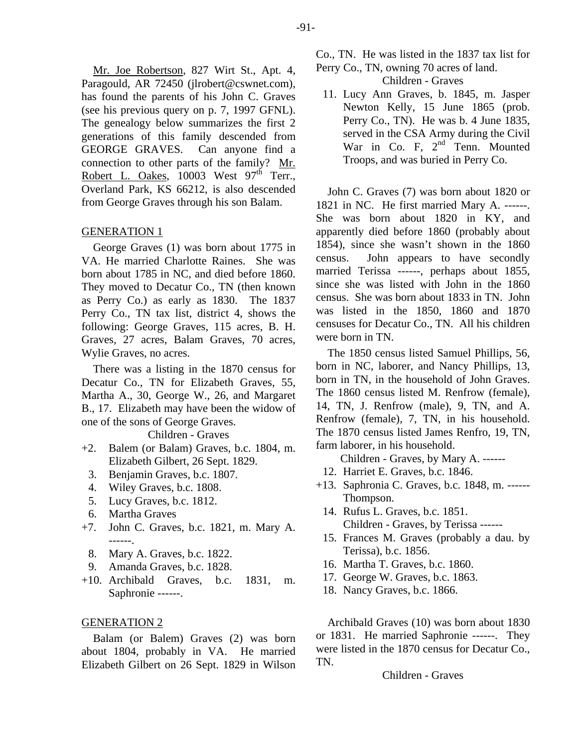Mr. Joe Robertson, 827 Wirt St., Apt. 4, Paragould, AR 72450 (jlrobert@cswnet.com), has found the parents of his John C. Graves (see his previous query on p. 7, 1997 GFNL). The genealogy below summarizes the first 2 generations of this family descended from GEORGE GRAVES. Can anyone find a connection to other parts of the family? Mr. Robert L. Oakes, 10003 West 97<sup>th</sup> Terr., Overland Park, KS 66212, is also descended from George Graves through his son Balam.

### GENERATION 1

George Graves (1) was born about 1775 in VA. He married Charlotte Raines. She was born about 1785 in NC, and died before 1860. They moved to Decatur Co., TN (then known as Perry Co.) as early as 1830. The 1837 Perry Co., TN tax list, district 4, shows the following: George Graves, 115 acres, B. H. Graves, 27 acres, Balam Graves, 70 acres, Wylie Graves, no acres.

There was a listing in the 1870 census for Decatur Co., TN for Elizabeth Graves, 55, Martha A., 30, George W., 26, and Margaret B., 17. Elizabeth may have been the widow of one of the sons of George Graves.

#### Children - Graves

- +2. Balem (or Balam) Graves, b.c. 1804, m. Elizabeth Gilbert, 26 Sept. 1829.
	- 3. Benjamin Graves, b.c. 1807.
	- 4. Wiley Graves, b.c. 1808.
	- 5. Lucy Graves, b.c. 1812.
- 6. Martha Graves
- +7. John C. Graves, b.c. 1821, m. Mary A. ------.
	- 8. Mary A. Graves, b.c. 1822.
	- 9. Amanda Graves, b.c. 1828.
- +10. Archibald Graves, b.c. 1831, m. Saphronie ------.

#### GENERATION 2

Balam (or Balem) Graves (2) was born about 1804, probably in VA. He married Elizabeth Gilbert on 26 Sept. 1829 in Wilson

Co., TN. He was listed in the 1837 tax list for Perry Co., TN, owning 70 acres of land.

Children - Graves

 11. Lucy Ann Graves, b. 1845, m. Jasper Newton Kelly, 15 June 1865 (prob. Perry Co., TN). He was b. 4 June 1835, served in the CSA Army during the Civil War in Co. F, 2<sup>nd</sup> Tenn. Mounted Troops, and was buried in Perry Co.

John C. Graves (7) was born about 1820 or 1821 in NC. He first married Mary A. ------. She was born about 1820 in KY, and apparently died before 1860 (probably about 1854), since she wasn't shown in the 1860 census. John appears to have secondly married Terissa ------, perhaps about 1855, since she was listed with John in the 1860 census. She was born about 1833 in TN. John was listed in the 1850, 1860 and 1870 censuses for Decatur Co., TN. All his children were born in TN.

The 1850 census listed Samuel Phillips, 56, born in NC, laborer, and Nancy Phillips, 13, born in TN, in the household of John Graves. The 1860 census listed M. Renfrow (female), 14, TN, J. Renfrow (male), 9, TN, and A. Renfrow (female), 7, TN, in his household. The 1870 census listed James Renfro, 19, TN, farm laborer, in his household.

Children - Graves, by Mary A. ------

- 12. Harriet E. Graves, b.c. 1846.
- +13. Saphronia C. Graves, b.c. 1848, m. ------ Thompson.
	- 14. Rufus L. Graves, b.c. 1851. Children - Graves, by Terissa ------
	- 15. Frances M. Graves (probably a dau. by Terissa), b.c. 1856.
	- 16. Martha T. Graves, b.c. 1860.
	- 17. George W. Graves, b.c. 1863.
	- 18. Nancy Graves, b.c. 1866.

Archibald Graves (10) was born about 1830 or 1831. He married Saphronie ------. They were listed in the 1870 census for Decatur Co., TN.

Children - Graves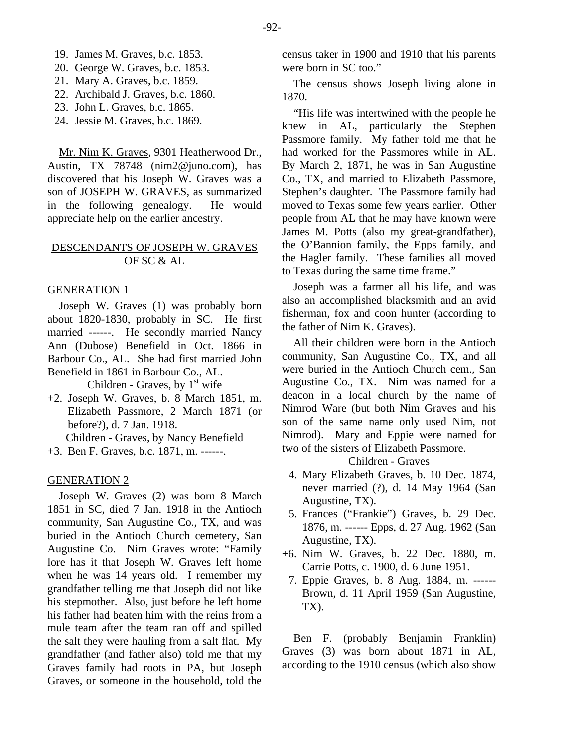- 19. James M. Graves, b.c. 1853.
- 20. George W. Graves, b.c. 1853.
- 21. Mary A. Graves, b.c. 1859.
- 22. Archibald J. Graves, b.c. 1860.
- 23. John L. Graves, b.c. 1865.
- 24. Jessie M. Graves, b.c. 1869.

Mr. Nim K. Graves, 9301 Heatherwood Dr., Austin, TX 78748 (nim2@juno.com), has discovered that his Joseph W. Graves was a son of JOSEPH W. GRAVES, as summarized in the following genealogy. He would appreciate help on the earlier ancestry.

## DESCENDANTS OF JOSEPH W. GRAVES OF SC & AL

#### GENERATION 1

Joseph W. Graves (1) was probably born about 1820-1830, probably in SC. He first married ------. He secondly married Nancy Ann (Dubose) Benefield in Oct. 1866 in Barbour Co., AL. She had first married John Benefield in 1861 in Barbour Co., AL.

Children - Graves, by  $1<sup>st</sup>$  wife

+2. Joseph W. Graves, b. 8 March 1851, m. Elizabeth Passmore, 2 March 1871 (or before?), d. 7 Jan. 1918.

Children - Graves, by Nancy Benefield

+3. Ben F. Graves, b.c. 1871, m. ------.

#### GENERATION 2

Joseph W. Graves (2) was born 8 March 1851 in SC, died 7 Jan. 1918 in the Antioch community, San Augustine Co., TX, and was buried in the Antioch Church cemetery, San Augustine Co. Nim Graves wrote: "Family lore has it that Joseph W. Graves left home when he was 14 years old. I remember my grandfather telling me that Joseph did not like his stepmother. Also, just before he left home his father had beaten him with the reins from a mule team after the team ran off and spilled the salt they were hauling from a salt flat. My grandfather (and father also) told me that my Graves family had roots in PA, but Joseph Graves, or someone in the household, told the

census taker in 1900 and 1910 that his parents were born in SC too."

The census shows Joseph living alone in 1870.

"His life was intertwined with the people he knew in AL, particularly the Stephen Passmore family. My father told me that he had worked for the Passmores while in AL. By March 2, 1871, he was in San Augustine Co., TX, and married to Elizabeth Passmore, Stephen's daughter. The Passmore family had moved to Texas some few years earlier. Other people from AL that he may have known were James M. Potts (also my great-grandfather), the O'Bannion family, the Epps family, and the Hagler family. These families all moved to Texas during the same time frame."

Joseph was a farmer all his life, and was also an accomplished blacksmith and an avid fisherman, fox and coon hunter (according to the father of Nim K. Graves).

All their children were born in the Antioch community, San Augustine Co., TX, and all were buried in the Antioch Church cem., San Augustine Co., TX. Nim was named for a deacon in a local church by the name of Nimrod Ware (but both Nim Graves and his son of the same name only used Nim, not Nimrod). Mary and Eppie were named for two of the sisters of Elizabeth Passmore.

Children - Graves

- 4. Mary Elizabeth Graves, b. 10 Dec. 1874, never married (?), d. 14 May 1964 (San Augustine, TX).
- 5. Frances ("Frankie") Graves, b. 29 Dec. 1876, m. ------ Epps, d. 27 Aug. 1962 (San Augustine, TX).
- +6. Nim W. Graves, b. 22 Dec. 1880, m. Carrie Potts, c. 1900, d. 6 June 1951.
	- 7. Eppie Graves, b. 8 Aug. 1884, m. ------ Brown, d. 11 April 1959 (San Augustine, TX).

Ben F. (probably Benjamin Franklin) Graves (3) was born about 1871 in AL, according to the 1910 census (which also show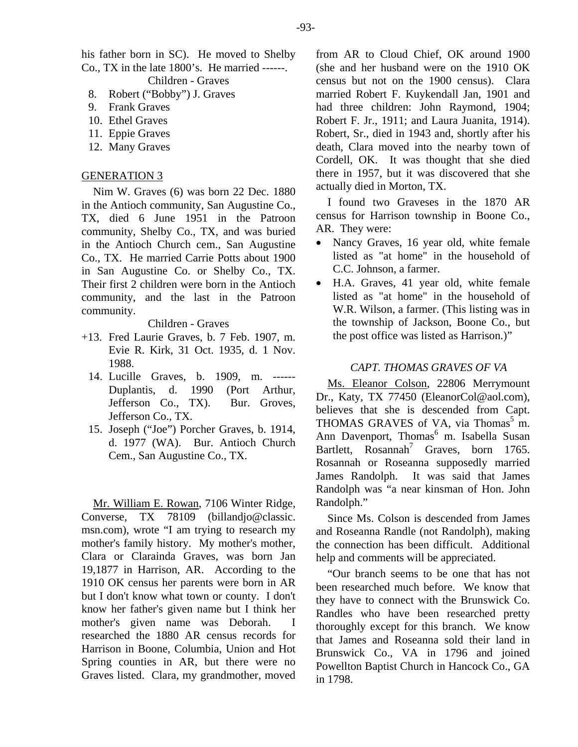his father born in SC). He moved to Shelby Co., TX in the late 1800's. He married ------. Children - Graves

- 8. Robert ("Bobby") J. Graves
- 9. Frank Graves
- 10. Ethel Graves
- 11. Eppie Graves
- 12. Many Graves

## GENERATION 3

Nim W. Graves (6) was born 22 Dec. 1880 in the Antioch community, San Augustine Co., TX, died 6 June 1951 in the Patroon community, Shelby Co., TX, and was buried in the Antioch Church cem., San Augustine Co., TX. He married Carrie Potts about 1900 in San Augustine Co. or Shelby Co., TX. Their first 2 children were born in the Antioch community, and the last in the Patroon community.

## Children - Graves

- +13. Fred Laurie Graves, b. 7 Feb. 1907, m. Evie R. Kirk, 31 Oct. 1935, d. 1 Nov. 1988.
	- 14. Lucille Graves, b. 1909, m. ------ Duplantis, d. 1990 (Port Arthur, Jefferson Co., TX). Bur. Groves, Jefferson Co., TX.
	- 15. Joseph ("Joe") Porcher Graves, b. 1914, d. 1977 (WA). Bur. Antioch Church Cem., San Augustine Co., TX.

Mr. William E. Rowan, 7106 Winter Ridge, Converse, TX 78109 (billandjo@classic. msn.com), wrote "I am trying to research my mother's family history. My mother's mother, Clara or Clarainda Graves, was born Jan 19,1877 in Harrison, AR. According to the 1910 OK census her parents were born in AR but I don't know what town or county. I don't know her father's given name but I think her mother's given name was Deborah. I researched the 1880 AR census records for Harrison in Boone, Columbia, Union and Hot Spring counties in AR, but there were no Graves listed. Clara, my grandmother, moved from AR to Cloud Chief, OK around 1900 (she and her husband were on the 1910 OK census but not on the 1900 census). Clara married Robert F. Kuykendall Jan, 1901 and had three children: John Raymond, 1904; Robert F. Jr., 1911; and Laura Juanita, 1914). Robert, Sr., died in 1943 and, shortly after his death, Clara moved into the nearby town of Cordell, OK. It was thought that she died there in 1957, but it was discovered that she actually died in Morton, TX.

I found two Graveses in the 1870 AR census for Harrison township in Boone Co., AR. They were:

- Nancy Graves, 16 year old, white female listed as "at home" in the household of C.C. Johnson, a farmer.
- H.A. Graves, 41 year old, white female listed as "at home" in the household of W.R. Wilson, a farmer. (This listing was in the township of Jackson, Boone Co., but the post office was listed as Harrison.)"

### *CAPT. THOMAS GRAVES OF VA*

Ms. Eleanor Colson, 22806 Merrymount Dr., Katy, TX 77450 (EleanorCol@aol.com), believes that she is descended from Capt. THOMAS GRAVES of VA, via Thomas<sup>5</sup> m. Ann Davenport, Thomas<sup>6</sup> m. Isabella Susan Bartlett,  $Rosannah^7$  Graves, born 1765. Rosannah or Roseanna supposedly married James Randolph. It was said that James Randolph was "a near kinsman of Hon. John Randolph."

Since Ms. Colson is descended from James and Roseanna Randle (not Randolph), making the connection has been difficult. Additional help and comments will be appreciated.

"Our branch seems to be one that has not been researched much before. We know that they have to connect with the Brunswick Co. Randles who have been researched pretty thoroughly except for this branch. We know that James and Roseanna sold their land in Brunswick Co., VA in 1796 and joined Powellton Baptist Church in Hancock Co., GA in 1798.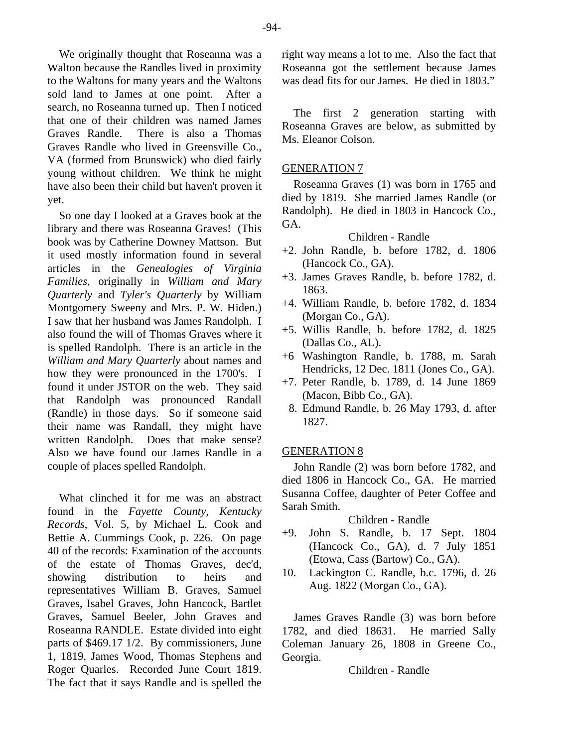We originally thought that Roseanna was a Walton because the Randles lived in proximity to the Waltons for many years and the Waltons sold land to James at one point. After a search, no Roseanna turned up. Then I noticed that one of their children was named James Graves Randle. There is also a Thomas Graves Randle who lived in Greensville Co., VA (formed from Brunswick) who died fairly young without children. We think he might have also been their child but haven't proven it yet.

So one day I looked at a Graves book at the library and there was Roseanna Graves! (This book was by Catherine Downey Mattson. But it used mostly information found in several articles in the *Genealogies of Virginia Families*, originally in *William and Mary Quarterly* and *Tyler's Quarterly* by William Montgomery Sweeny and Mrs. P. W. Hiden.) I saw that her husband was James Randolph. I also found the will of Thomas Graves where it is spelled Randolph. There is an article in the *William and Mary Quarterly* about names and how they were pronounced in the 1700's. I found it under JSTOR on the web. They said that Randolph was pronounced Randall (Randle) in those days. So if someone said their name was Randall, they might have written Randolph. Does that make sense? Also we have found our James Randle in a couple of places spelled Randolph.

What clinched it for me was an abstract found in the *Fayette County, Kentucky Records*, Vol. 5, by Michael L. Cook and Bettie A. Cummings Cook, p. 226. On page 40 of the records: Examination of the accounts of the estate of Thomas Graves, dec'd, showing distribution to heirs and representatives William B. Graves, Samuel Graves, Isabel Graves, John Hancock, Bartlet Graves, Samuel Beeler, John Graves and Roseanna RANDLE. Estate divided into eight parts of \$469.17 1/2. By commissioners, June 1, 1819, James Wood, Thomas Stephens and Roger Quarles. Recorded June Court 1819. The fact that it says Randle and is spelled the

right way means a lot to me. Also the fact that Roseanna got the settlement because James was dead fits for our James. He died in 1803."

The first 2 generation starting with Roseanna Graves are below, as submitted by Ms. Eleanor Colson.

## GENERATION 7

Roseanna Graves (1) was born in 1765 and died by 1819. She married James Randle (or Randolph). He died in 1803 in Hancock Co., GA.

#### Children - Randle

- +2. John Randle, b. before 1782, d. 1806 (Hancock Co., GA).
- +3. James Graves Randle, b. before 1782, d. 1863.
- +4. William Randle, b. before 1782, d. 1834 (Morgan Co., GA).
- +5. Willis Randle, b. before 1782, d. 1825 (Dallas Co., AL).
- +6 Washington Randle, b. 1788, m. Sarah Hendricks, 12 Dec. 1811 (Jones Co., GA).
- +7. Peter Randle, b. 1789, d. 14 June 1869 (Macon, Bibb Co., GA).
	- 8. Edmund Randle, b. 26 May 1793, d. after 1827.

## GENERATION 8

John Randle (2) was born before 1782, and died 1806 in Hancock Co., GA. He married Susanna Coffee, daughter of Peter Coffee and Sarah Smith.

## Children - Randle

- +9. John S. Randle, b. 17 Sept. 1804 (Hancock Co., GA), d. 7 July 1851 (Etowa, Cass (Bartow) Co., GA).
- 10. Lackington C. Randle, b.c. 1796, d. 26 Aug. 1822 (Morgan Co., GA).

James Graves Randle (3) was born before 1782, and died 18631. He married Sally Coleman January 26, 1808 in Greene Co., Georgia.

Children - Randle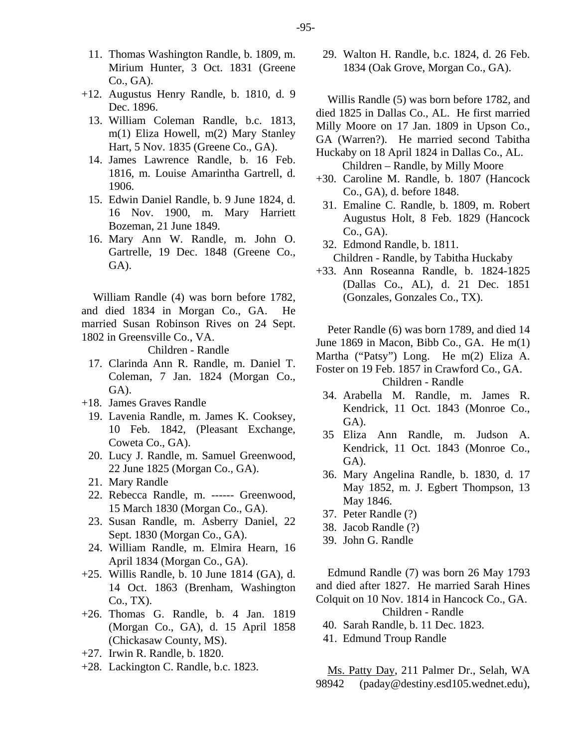- 11. Thomas Washington Randle, b. 1809, m. Mirium Hunter, 3 Oct. 1831 (Greene Co., GA).
- +12. Augustus Henry Randle, b. 1810, d. 9 Dec. 1896.
	- 13. William Coleman Randle, b.c. 1813, m(1) Eliza Howell, m(2) Mary Stanley Hart, 5 Nov. 1835 (Greene Co., GA).
	- 14. James Lawrence Randle, b. 16 Feb. 1816, m. Louise Amarintha Gartrell, d. 1906.
	- 15. Edwin Daniel Randle, b. 9 June 1824, d. 16 Nov. 1900, m. Mary Harriett Bozeman, 21 June 1849.
	- 16. Mary Ann W. Randle, m. John O. Gartrelle, 19 Dec. 1848 (Greene Co., GA).

William Randle (4) was born before 1782, and died 1834 in Morgan Co., GA. He married Susan Robinson Rives on 24 Sept. 1802 in Greensville Co., VA.

Children - Randle

- 17. Clarinda Ann R. Randle, m. Daniel T. Coleman, 7 Jan. 1824 (Morgan Co., GA).
- +18. James Graves Randle
	- 19. Lavenia Randle, m. James K. Cooksey, 10 Feb. 1842, (Pleasant Exchange, Coweta Co., GA).
	- 20. Lucy J. Randle, m. Samuel Greenwood, 22 June 1825 (Morgan Co., GA).
	- 21. Mary Randle
	- 22. Rebecca Randle, m. ------ Greenwood, 15 March 1830 (Morgan Co., GA).
	- 23. Susan Randle, m. Asberry Daniel, 22 Sept. 1830 (Morgan Co., GA).
	- 24. William Randle, m. Elmira Hearn, 16 April 1834 (Morgan Co., GA).
- +25. Willis Randle, b. 10 June 1814 (GA), d. 14 Oct. 1863 (Brenham, Washington Co., TX).
- +26. Thomas G. Randle, b. 4 Jan. 1819 (Morgan Co., GA), d. 15 April 1858 (Chickasaw County, MS).
- +27. Irwin R. Randle, b. 1820.
- +28. Lackington C. Randle, b.c. 1823.

 29. Walton H. Randle, b.c. 1824, d. 26 Feb. 1834 (Oak Grove, Morgan Co., GA).

Willis Randle (5) was born before 1782, and died 1825 in Dallas Co., AL. He first married Milly Moore on 17 Jan. 1809 in Upson Co., GA (Warren?). He married second Tabitha Huckaby on 18 April 1824 in Dallas Co., AL.

Children – Randle, by Milly Moore

- +30. Caroline M. Randle, b. 1807 (Hancock Co., GA), d. before 1848.
- 31. Emaline C. Randle, b. 1809, m. Robert Augustus Holt, 8 Feb. 1829 (Hancock Co., GA).

 32. Edmond Randle, b. 1811. Children - Randle, by Tabitha Huckaby

+33. Ann Roseanna Randle, b. 1824-1825 (Dallas Co., AL), d. 21 Dec. 1851 (Gonzales, Gonzales Co., TX).

Peter Randle (6) was born 1789, and died 14 June 1869 in Macon, Bibb Co., GA. He m(1) Martha ("Patsy") Long. He m(2) Eliza A. Foster on 19 Feb. 1857 in Crawford Co., GA.

Children - Randle

- 34. Arabella M. Randle, m. James R. Kendrick, 11 Oct. 1843 (Monroe Co., GA).
- 35 Eliza Ann Randle, m. Judson A. Kendrick, 11 Oct. 1843 (Monroe Co., GA).
- 36. Mary Angelina Randle, b. 1830, d. 17 May 1852, m. J. Egbert Thompson, 13 May 1846.
- 37. Peter Randle (?)
- 38. Jacob Randle (?)
- 39. John G. Randle

Edmund Randle (7) was born 26 May 1793 and died after 1827. He married Sarah Hines Colquit on 10 Nov. 1814 in Hancock Co., GA.

Children - Randle

- 40. Sarah Randle, b. 11 Dec. 1823.
- 41. Edmund Troup Randle

Ms. Patty Day, 211 Palmer Dr., Selah, WA 98942 (paday@destiny.esd105.wednet.edu),